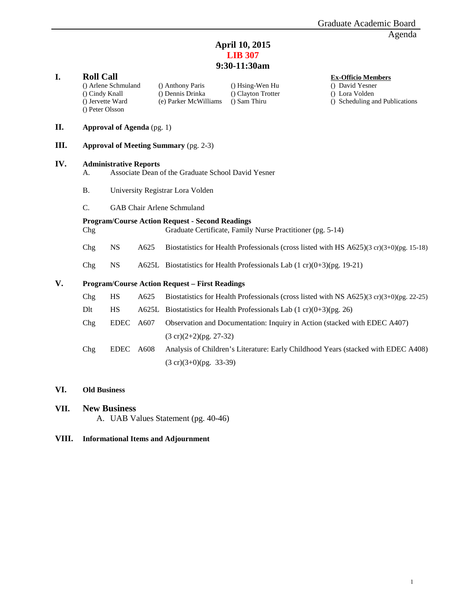#### **April 10, 2015 LIB 307 9:30-11:30am**

## **I. Roll Call Call Call Ex-Officio Members () Arthony Paris () H**sing-Wen Hu **Ex-Officio Members () David Yesner** () Arlene Schmuland () Anthony Paris () Hsing-Wen Hu () David Yesner () Cindy Knall () Dennis Drinka () Clayton Trotter () Lora Volden () Clayton Trotter () Jervette Ward (e) Parker McWilliams () Sam Thiru () Scheduling and Publications () Peter Olsson **II. Approval of Agenda** (pg. 1) **III. Approval of Meeting Summary** (pg. 2-3) **IV. Administrative Reports**  A. Associate Dean of the Graduate School David Yesner B. University Registrar Lora Volden C. GAB Chair Arlene Schmuland **Program/Course Action Request - Second Readings** Chg Graduate Certificate, Family Nurse Practitioner (pg. 5-14) Chg NS A625 Biostatistics for Health Professionals (cross listed with HS A625)(3 cr)(3+0)(pg. 15-18) Chg NS A625L Biostatistics for Health Professionals Lab  $(1 \text{ cr})(0+3)$ (pg. 19-21) **V. Program/Course Action Request – First Readings** Chg HS  $A625$  Biostatistics for Health Professionals (cross listed with NS A625)(3 cr)(3+0)(pg. 22-25) Dlt HS A625L Biostatistics for Health Professionals Lab  $(1 \text{ cr})(0+3)(pg. 26)$ Chg EDEC A607 Observation and Documentation: Inquiry in Action (stacked with EDEC A407) (3 cr)(2+2)(pg. 27-32) Chg EDEC A608 Analysis of Children's Literature: Early Childhood Years (stacked with EDEC A408) (3 cr)(3+0)(pg. 33-39)

**VI. Old Business**

#### **VII. New Business**

A. UAB Values Statement (pg. 40-46)

#### **VIII. Informational Items and Adjournment**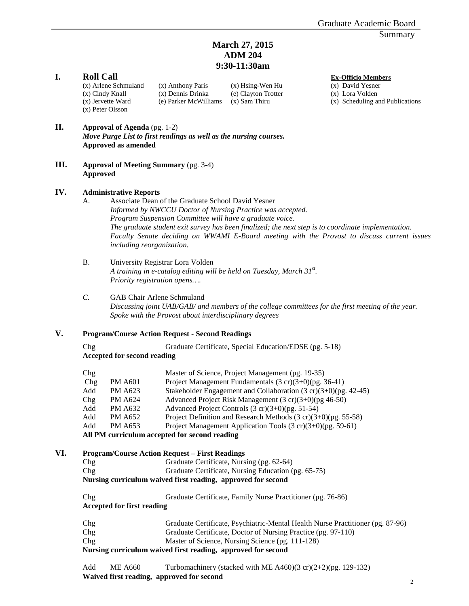#### **March 27, 2015 ADM 204 9:30-11:30am**

**I. Roll Call Ex-Officio Members (x) Anthony Paris (x) H**sing-Wen Hu **Ex-Officio Members (x) Anthony Paris (x) Hsing-Wen Hu (x) David Yesner** (x) Arlene Schmuland (x) Anthony Paris (x) Hsing-Wen Hu (x) David Yesner<br>
(x) Cindy Knall (x) Dennis Drinka (e) Clayton Trotter (x) Lora Volden (x) Jervette Ward (e) Parker McWilliams (x) Sam Thiru (x) Scheduling and Publications (x) Peter Olsson

# (e) Clayton Trotter (x) Sam Thiru

#### **II. Approval of Agenda** (pg. 1-2)

*Move Purge List to first readings as well as the nursing courses.*  **Approved as amended** 

**III. Approval of Meeting Summary** (pg. 3-4) **Approved**

#### **IV. Administrative Reports**

- A. Associate Dean of the Graduate School David Yesner *Informed by NWCCU Doctor of Nursing Practice was accepted. Program Suspension Committee will have a graduate voice. The graduate student exit survey has been finalized; the next step is to coordinate implementation. Faculty Senate deciding on WWAMI E-Board meeting with the Provost to discuss current issues including reorganization.*
- B. University Registrar Lora Volden *A training in e-catalog editing will be held on Tuesday, March 31st . Priority registration opens….*

#### *C.* GAB Chair Arlene Schmuland

*Discussing joint UAB/GAB/ and members of the college committees for the first meeting of the year. Spoke with the Provost about interdisciplinary degrees*

#### **V. Program/Course Action Request - Second Readings**

Chg Graduate Certificate, Special Education/EDSE (pg. 5-18) **Accepted for second reading**

| Chg                                           |                | Master of Science, Project Management (pg. 19-35)                          |  |  |  |
|-----------------------------------------------|----------------|----------------------------------------------------------------------------|--|--|--|
| Chg                                           | <b>PM A601</b> | Project Management Fundamentals $(3 \text{ cr})(3+0)$ (pg. 36-41)          |  |  |  |
| Add                                           | <b>PM A623</b> | Stakeholder Engagement and Collaboration $(3 \text{ cr})(3+0)$ (pg. 42-45) |  |  |  |
| Chg                                           | PM A624        | Advanced Project Risk Management $(3 \text{ cr})(3+0)$ (pg 46-50)          |  |  |  |
| Add                                           | <b>PM A632</b> | Advanced Project Controls $(3 \text{ cr})(3+0)$ (pg. 51-54)                |  |  |  |
| Add                                           | <b>PM A652</b> | Project Definition and Research Methods $(3 \text{ cr})(3+0)$ (pg. 55-58)  |  |  |  |
| Add                                           | PM A653        | Project Management Application Tools $(3 \text{ cr})(3+0)$ (pg. 59-61)     |  |  |  |
| All PM curriculum accepted for second reading |                |                                                                            |  |  |  |

#### **VI. Program/Course Action Request – First Readings**

Chg Graduate Certificate, Nursing (pg. 62-64) Chg Graduate Certificate, Nursing Education (pg. 65-75) **Nursing curriculum waived first reading, approved for second**

| Chg                        | Graduate Certificate, Family Nurse Practitioner (pg. 76-86)                    |
|----------------------------|--------------------------------------------------------------------------------|
| Accepted for first reading |                                                                                |
| Chg                        | Graduate Certificate, Psychiatric-Mental Health Nurse Practitioner (pg. 87-96) |
| Chg                        | Graduate Certificate, Doctor of Nursing Practice (pg. 97-110)                  |

#### Chg Master of Science, Nursing Science (pg. 111-128)

**Nursing curriculum waived first reading, approved for second**

Add ME A660 Turbomachinery (stacked with ME A460) $(3 \text{ cr})(2+2)$ (pg. 129-132) **Waived first reading, approved for second**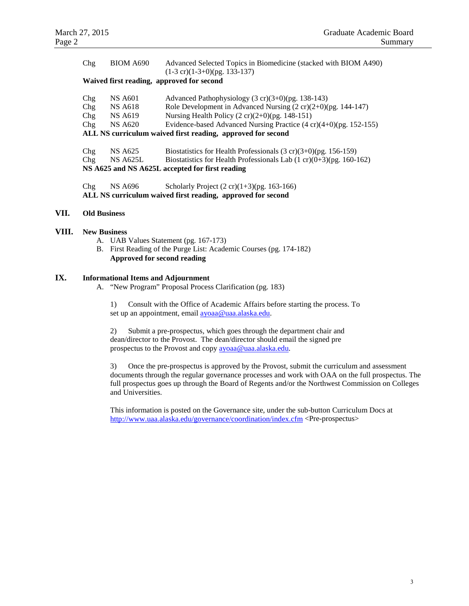| Chg                                                         | <b>BIOM A690</b> | Advanced Selected Topics in Biomedicine (stacked with BIOM A490)               |  |  |  |  |  |
|-------------------------------------------------------------|------------------|--------------------------------------------------------------------------------|--|--|--|--|--|
|                                                             |                  | $(1-3 \text{ cr})(1-3+0)$ (pg. 133-137)                                        |  |  |  |  |  |
| Waived first reading, approved for second                   |                  |                                                                                |  |  |  |  |  |
|                                                             |                  |                                                                                |  |  |  |  |  |
| Chg                                                         | <b>NS A601</b>   | Advanced Pathophysiology $(3 \text{ cr})(3+0)$ (pg. 138-143)                   |  |  |  |  |  |
| Chg                                                         | <b>NS A618</b>   | Role Development in Advanced Nursing $(2 cr)(2+0)$ (pg. 144-147)               |  |  |  |  |  |
| Chg                                                         | <b>NS A619</b>   | Nursing Health Policy $(2 \text{ cr})(2+0)$ (pg. 148-151)                      |  |  |  |  |  |
| Chg                                                         | <b>NS A620</b>   | Evidence-based Advanced Nursing Practice $(4 \text{ cr})(4+0)$ (pg. 152-155)   |  |  |  |  |  |
| ALL NS curriculum waived first reading, approved for second |                  |                                                                                |  |  |  |  |  |
|                                                             |                  |                                                                                |  |  |  |  |  |
| Chg                                                         | <b>NS A625</b>   | Biostatistics for Health Professionals $(3 \text{ cr})(3+0)$ (pg. 156-159)     |  |  |  |  |  |
| Chg                                                         | <b>NS A625L</b>  | Biostatistics for Health Professionals Lab $(1 \text{ cr})(0+3)$ (pg. 160-162) |  |  |  |  |  |
| NS A625 and NS A625L accepted for first reading             |                  |                                                                                |  |  |  |  |  |
|                                                             |                  |                                                                                |  |  |  |  |  |
| Chg                                                         | <b>NS A696</b>   | Scholarly Project $(2 \text{ cr})(1+3)$ (pg. 163-166)                          |  |  |  |  |  |
| ALL NS curriculum waived first reading, approved for second |                  |                                                                                |  |  |  |  |  |

#### **VII. Old Business**

#### **VIII. New Business**

- A. UAB Values Statement (pg. 167-173)
- B. First Reading of the Purge List: Academic Courses (pg. 174-182) **Approved for second reading**

#### **IX. Informational Items and Adjournment**

A. "New Program" Proposal Process Clarification (pg. 183)

 1) Consult with the Office of Academic Affairs before starting the process. To set up an appointment, emai[l ayoaa@uaa.alaska.edu.](mailto:ayoaa@uaa.alaska.edu) 

2) Submit a pre-prospectus, which goes through the department chair and dean/director to the Provost. The dean/director should email the signed pre prospectus to the Provost and copy [ayoaa@uaa.alaska.edu.](mailto:ayoaa@uaa.alaska.edu)

3) Once the pre-prospectus is approved by the Provost, submit the curriculum and assessment documents through the regular governance processes and work with OAA on the full prospectus. The full prospectus goes up through the Board of Regents and/or the Northwest Commission on Colleges and Universities.

This information is posted on the Governance site, under the sub-button Curriculum Docs at <http://www.uaa.alaska.edu/governance/coordination/index.cfm> <Pre-prospectus>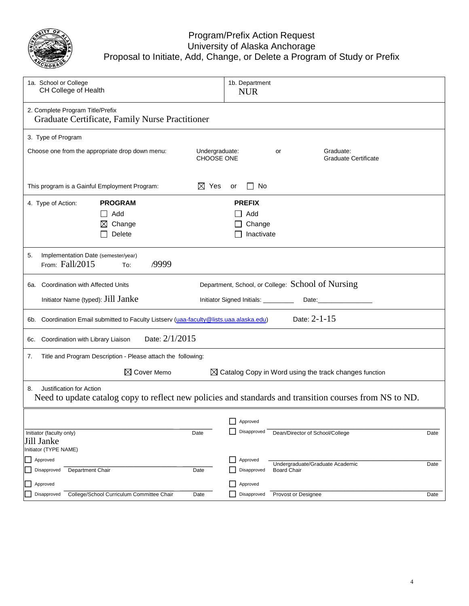

#### Program/Prefix Action Request University of Alaska Anchorage Proposal to Initiate, Add, Change, or Delete a Program of Study or Prefix

| 1a. School or College<br>CH College of Health                                                                                             | 1b. Department<br><b>NUR</b>                                                                                                                                                                                                                                           |  |  |  |  |  |  |  |
|-------------------------------------------------------------------------------------------------------------------------------------------|------------------------------------------------------------------------------------------------------------------------------------------------------------------------------------------------------------------------------------------------------------------------|--|--|--|--|--|--|--|
| 2. Complete Program Title/Prefix<br>Graduate Certificate, Family Nurse Practitioner                                                       |                                                                                                                                                                                                                                                                        |  |  |  |  |  |  |  |
| 3. Type of Program                                                                                                                        |                                                                                                                                                                                                                                                                        |  |  |  |  |  |  |  |
| Choose one from the appropriate drop down menu:                                                                                           | Undergraduate:<br>Graduate:<br>or<br><b>CHOOSE ONE</b><br><b>Graduate Certificate</b>                                                                                                                                                                                  |  |  |  |  |  |  |  |
| $\boxtimes$ Yes<br>This program is a Gainful Employment Program:                                                                          | No<br>or<br>$\Box$                                                                                                                                                                                                                                                     |  |  |  |  |  |  |  |
| <b>PROGRAM</b><br>4. Type of Action:                                                                                                      | <b>PREFIX</b>                                                                                                                                                                                                                                                          |  |  |  |  |  |  |  |
| Add<br>$\mathsf{L}$                                                                                                                       | Add                                                                                                                                                                                                                                                                    |  |  |  |  |  |  |  |
| Change<br>$\bowtie$                                                                                                                       | Change                                                                                                                                                                                                                                                                 |  |  |  |  |  |  |  |
| Delete                                                                                                                                    | Inactivate                                                                                                                                                                                                                                                             |  |  |  |  |  |  |  |
| 5.<br>Implementation Date (semester/year)<br>From: Fall/2015<br>/9999<br>To:                                                              |                                                                                                                                                                                                                                                                        |  |  |  |  |  |  |  |
| <b>Coordination with Affected Units</b><br>6a.                                                                                            | Department, School, or College: School of Nursing                                                                                                                                                                                                                      |  |  |  |  |  |  |  |
| Initiator Name (typed): Jill Janke                                                                                                        | Initiator Signed Initials: _________<br>Date: the contract of the contract of the contract of the contract of the contract of the contract of the contract of the contract of the contract of the contract of the contract of the contract of the contract of the cont |  |  |  |  |  |  |  |
| Date: 2-1-15<br>6b. Coordination Email submitted to Faculty Listserv (uaa-faculty@lists.uaa.alaska.edu)                                   |                                                                                                                                                                                                                                                                        |  |  |  |  |  |  |  |
| Date: 2/1/2015<br>Coordination with Library Liaison<br>6c.                                                                                |                                                                                                                                                                                                                                                                        |  |  |  |  |  |  |  |
| Title and Program Description - Please attach the following:<br>7.                                                                        |                                                                                                                                                                                                                                                                        |  |  |  |  |  |  |  |
| $\boxtimes$ Cover Memo<br>$\boxtimes$ Catalog Copy in Word using the track changes function                                               |                                                                                                                                                                                                                                                                        |  |  |  |  |  |  |  |
| Justification for Action<br>8.<br>Need to update catalog copy to reflect new policies and standards and transition courses from NS to ND. |                                                                                                                                                                                                                                                                        |  |  |  |  |  |  |  |
|                                                                                                                                           | Approved                                                                                                                                                                                                                                                               |  |  |  |  |  |  |  |
| Initiator (faculty only)<br>Date                                                                                                          | Disapproved<br>Dean/Director of School/College<br>Date                                                                                                                                                                                                                 |  |  |  |  |  |  |  |
| Jill Janke                                                                                                                                |                                                                                                                                                                                                                                                                        |  |  |  |  |  |  |  |
| Initiator (TYPE NAME)                                                                                                                     |                                                                                                                                                                                                                                                                        |  |  |  |  |  |  |  |
| Approved                                                                                                                                  | Approved<br>Undergraduate/Graduate Academic<br>Date                                                                                                                                                                                                                    |  |  |  |  |  |  |  |
| Department Chair<br>Disapproved<br>Date                                                                                                   | Disapproved<br><b>Board Chair</b>                                                                                                                                                                                                                                      |  |  |  |  |  |  |  |
| Approved                                                                                                                                  | Approved                                                                                                                                                                                                                                                               |  |  |  |  |  |  |  |
| College/School Curriculum Committee Chair<br>Disapproved<br>Date                                                                          | Disapproved<br>Provost or Designee<br>Date                                                                                                                                                                                                                             |  |  |  |  |  |  |  |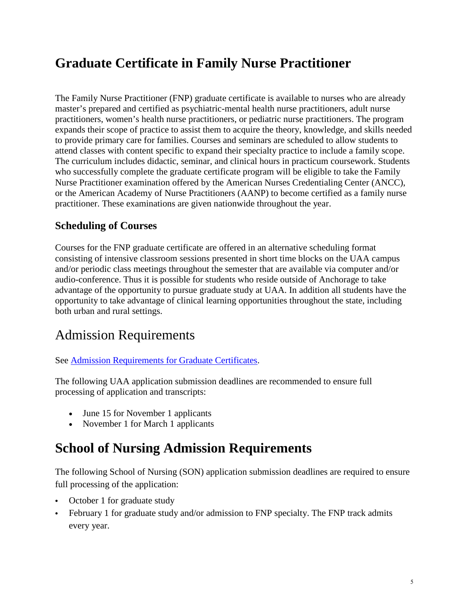## **Graduate Certificate in Family Nurse Practitioner**

The Family Nurse Practitioner (FNP) graduate certificate is available to nurses who are already master's prepared and certified as psychiatric-mental health nurse practitioners, adult nurse practitioners, women's health nurse practitioners, or pediatric nurse practitioners. The program expands their scope of practice to assist them to acquire the theory, knowledge, and skills needed to provide primary care for families. Courses and seminars are scheduled to allow students to attend classes with content specific to expand their specialty practice to include a family scope. The curriculum includes didactic, seminar, and clinical hours in practicum coursework. Students who successfully complete the graduate certificate program will be eligible to take the Family Nurse Practitioner examination offered by the American Nurses Credentialing Center (ANCC), or the American Academy of Nurse Practitioners (AANP) to become certified as a family nurse practitioner. These examinations are given nationwide throughout the year.

## **Scheduling of Courses**

Courses for the FNP graduate certificate are offered in an alternative scheduling format consisting of intensive classroom sessions presented in short time blocks on the UAA campus and/or periodic class meetings throughout the semester that are available via computer and/or audio-conference. Thus it is possible for students who reside outside of Anchorage to take advantage of the opportunity to pursue graduate study at UAA. In addition all students have the opportunity to take advantage of clinical learning opportunities throughout the state, including both urban and rural settings.

## Admission Requirements

### See [Admission Requirements for Graduate Certificates.](http://catalog.uaa.alaska.edu/admissions/graduate/)

The following UAA application submission deadlines are recommended to ensure full processing of application and transcripts:

- June 15 for November 1 applicants
- November 1 for March 1 applicants

## **School of Nursing Admission Requirements**

The following School of Nursing (SON) application submission deadlines are required to ensure full processing of the application:

- October 1 for graduate study
- February 1 for graduate study and/or admission to FNP specialty. The FNP track admits every year.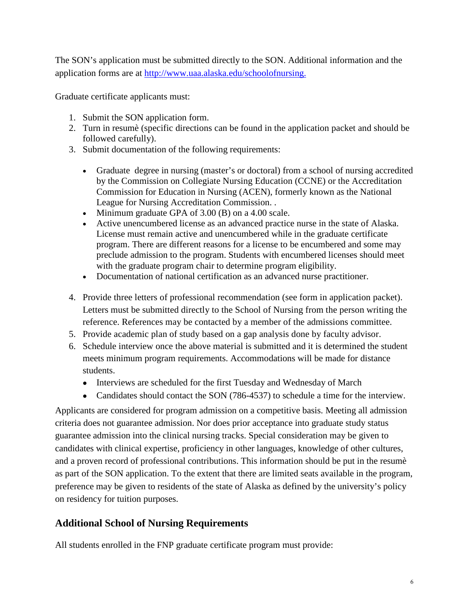The SON's application must be submitted directly to the SON. Additional information and the application forms are at [http://www.uaa.alaska.edu/schoolofnursing.](http://www.uaa.alaska.edu/schoolofnursing)

Graduate certificate applicants must:

- 1. Submit the SON application form.
- 2. Turn in resumè (specific directions can be found in the application packet and should be followed carefully).
- 3. Submit documentation of the following requirements:
	- Graduate degree in nursing (master's or doctoral) from a school of nursing accredited by the Commission on Collegiate Nursing Education (CCNE) or the Accreditation Commission for Education in Nursing (ACEN), formerly known as the National League for Nursing Accreditation Commission. .
	- Minimum graduate GPA of 3.00 (B) on a 4.00 scale.
	- Active unencumbered license as an advanced practice nurse in the state of Alaska. License must remain active and unencumbered while in the graduate certificate program. There are different reasons for a license to be encumbered and some may preclude admission to the program. Students with encumbered licenses should meet with the graduate program chair to determine program eligibility.
	- Documentation of national certification as an advanced nurse practitioner.
- 4. Provide three letters of professional recommendation (see form in application packet). Letters must be submitted directly to the School of Nursing from the person writing the reference. References may be contacted by a member of the admissions committee.
- 5. Provide academic plan of study based on a gap analysis done by faculty advisor.
- 6. Schedule interview once the above material is submitted and it is determined the student meets minimum program requirements. Accommodations will be made for distance students.
	- Interviews are scheduled for the first Tuesday and Wednesday of March
	- Candidates should contact the SON (786-4537) to schedule a time for the interview.

Applicants are considered for program admission on a competitive basis. Meeting all admission criteria does not guarantee admission. Nor does prior acceptance into graduate study status guarantee admission into the clinical nursing tracks. Special consideration may be given to candidates with clinical expertise, proficiency in other languages, knowledge of other cultures, and a proven record of professional contributions. This information should be put in the resumè as part of the SON application. To the extent that there are limited seats available in the program, preference may be given to residents of the state of Alaska as defined by the university's policy on residency for tuition purposes.

## **Additional School of Nursing Requirements**

All students enrolled in the FNP graduate certificate program must provide: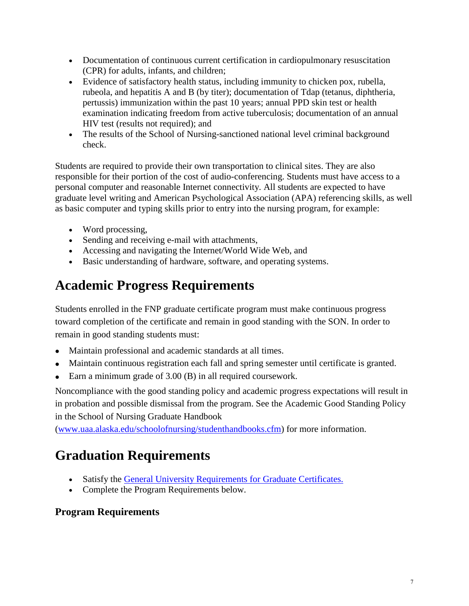- Documentation of continuous current certification in cardiopulmonary resuscitation (CPR) for adults, infants, and children;
- Evidence of satisfactory health status, including immunity to chicken pox, rubella, rubeola, and hepatitis A and B (by titer); documentation of Tdap (tetanus, diphtheria, pertussis) immunization within the past 10 years; annual PPD skin test or health examination indicating freedom from active tuberculosis; documentation of an annual HIV test (results not required); and
- The results of the School of Nursing-sanctioned national level criminal background check.

Students are required to provide their own transportation to clinical sites. They are also responsible for their portion of the cost of audio-conferencing. Students must have access to a personal computer and reasonable Internet connectivity. All students are expected to have graduate level writing and American Psychological Association (APA) referencing skills, as well as basic computer and typing skills prior to entry into the nursing program, for example:

- Word processing,
- Sending and receiving e-mail with attachments,
- Accessing and navigating the Internet/World Wide Web, and
- Basic understanding of hardware, software, and operating systems.

## **Academic Progress Requirements**

Students enrolled in the FNP graduate certificate program must make continuous progress toward completion of the certificate and remain in good standing with the SON. In order to remain in good standing students must:

- Maintain professional and academic standards at all times.
- Maintain continuous registration each fall and spring semester until certificate is granted.
- Earn a minimum grade of 3.00 (B) in all required coursework.

Noncompliance with the good standing policy and academic progress expectations will result in in probation and possible dismissal from the program. See the Academic Good Standing Policy in the School of Nursing Graduate Handbook

[\(www.uaa.alaska.edu/schoolofnursing/studenthandbooks.cfm\)](http://www.uaa.alaska.edu/schoolofnursing/studenthandbooks.cfm) for more information.

## **Graduation Requirements**

- Satisfy the [General University Requirements for Graduate Certificates.](http://catalog.uaa.alaska.edu/graduateprograms/gradcertrequirements/)
- Complete the Program Requirements below.

## **Program Requirements**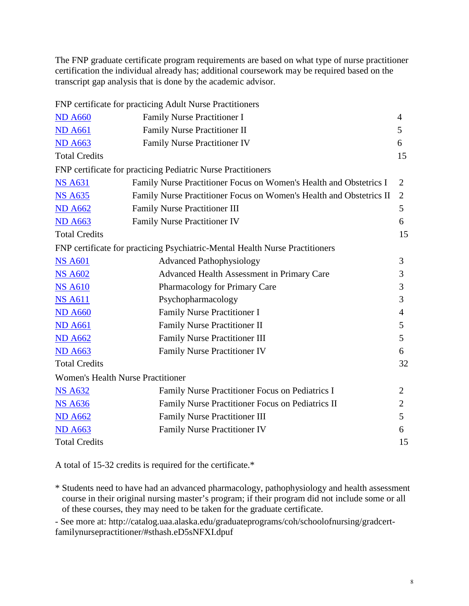The FNP graduate certificate program requirements are based on what type of nurse practitioner certification the individual already has; additional coursework may be required based on the transcript gap analysis that is done by the academic advisor.

FNP certificate for practicing Adult Nurse Practitioners

| <b>ND A660</b>                           | Family Nurse Practitioner I                                                  | 4              |
|------------------------------------------|------------------------------------------------------------------------------|----------------|
| <b>ND A661</b>                           | Family Nurse Practitioner II                                                 | 5              |
| <b>ND A663</b>                           | <b>Family Nurse Practitioner IV</b>                                          | 6              |
| <b>Total Credits</b>                     |                                                                              | 15             |
|                                          | FNP certificate for practicing Pediatric Nurse Practitioners                 |                |
| <b>NS A631</b>                           | Family Nurse Practitioner Focus on Women's Health and Obstetrics I           | $\overline{2}$ |
| <b>NS A635</b>                           | Family Nurse Practitioner Focus on Women's Health and Obstetrics II          | $\overline{2}$ |
| <b>ND A662</b>                           | <b>Family Nurse Practitioner III</b>                                         | 5              |
| <b>ND A663</b>                           | <b>Family Nurse Practitioner IV</b>                                          | 6              |
| <b>Total Credits</b>                     |                                                                              | 15             |
|                                          | FNP certificate for practicing Psychiatric-Mental Health Nurse Practitioners |                |
| <b>NS A601</b>                           | <b>Advanced Pathophysiology</b>                                              | 3              |
| <b>NS A602</b>                           | Advanced Health Assessment in Primary Care                                   | 3              |
| <b>NS A610</b>                           | Pharmacology for Primary Care                                                | 3              |
| <b>NS A611</b>                           | Psychopharmacology                                                           | 3              |
| <b>ND A660</b>                           | Family Nurse Practitioner I                                                  | $\overline{4}$ |
| <b>ND A661</b>                           | <b>Family Nurse Practitioner II</b>                                          | 5              |
| <b>ND A662</b>                           | <b>Family Nurse Practitioner III</b>                                         | 5              |
| <b>ND A663</b>                           | <b>Family Nurse Practitioner IV</b>                                          | 6              |
| <b>Total Credits</b>                     |                                                                              | 32             |
| <b>Women's Health Nurse Practitioner</b> |                                                                              |                |
| <b>NS A632</b>                           | Family Nurse Practitioner Focus on Pediatrics I                              | 2              |
| <b>NS A636</b>                           | Family Nurse Practitioner Focus on Pediatrics II                             | $\overline{2}$ |
| <b>ND A662</b>                           | <b>Family Nurse Practitioner III</b>                                         | 5              |
| <b>ND A663</b>                           | <b>Family Nurse Practitioner IV</b>                                          | 6              |
| <b>Total Credits</b>                     |                                                                              | 15             |

A total of 15-32 credits is required for the certificate.\*

\* Students need to have had an advanced pharmacology, pathophysiology and health assessment course in their original nursing master's program; if their program did not include some or all of these courses, they may need to be taken for the graduate certificate.

- See more at: http://catalog.uaa.alaska.edu/graduateprograms/coh/schoolofnursing/gradcertfamilynursepractitioner/#sthash.eD5sNFXI.dpuf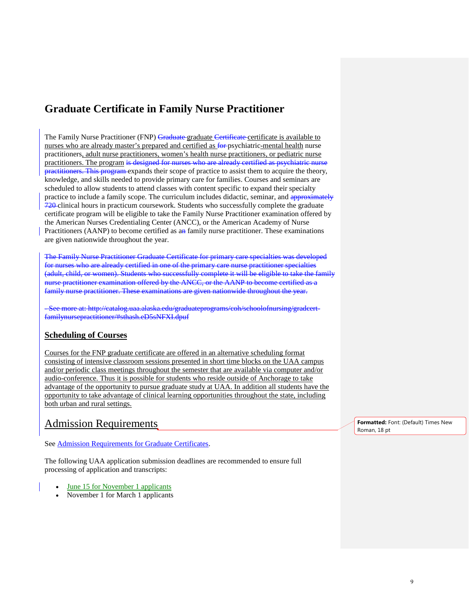## **Graduate Certificate in Family Nurse Practitioner**

The Family Nurse Practitioner (FNP) Graduate graduate Certificate certificate is available to nurses who are already master's prepared and certified as  $\frac{60}{2}$  psychiatric-mental health nurse practitioners, adult nurse practitioners, women's health nurse practitioners, or pediatric nurse practitioners. The program is designed for nurses who are already certified as psychiatric nurse practitioners. This program expands their scope of practice to assist them to acquire the theory, knowledge, and skills needed to provide primary care for families. Courses and seminars are scheduled to allow students to attend classes with content specific to expand their specialty practice to include a family scope. The curriculum includes didactic, seminar, and approximately 720 clinical hours in practicum coursework. Students who successfully complete the graduate certificate program will be eligible to take the Family Nurse Practitioner examination offered by the American Nurses Credentialing Center (ANCC), or the American Academy of Nurse Practitioners (AANP) to become certified as an family nurse practitioner. These examinations are given nationwide throughout the year.

The Family Nurse Practitioner Graduate Certificate for primary care specialties was developed for nurses who are already certified in one of the primary care nurse practitioner specialties (adult, child, or women). Students who successfully complete it will be eligible to take the family nurse practitioner examination offered by the ANCC, or the AANP to become certified as a family nurse practitioner. These examinations are given nationwide throughout the year.

- See more at: http://catalog.uaa.alaska.edu/graduateprograms/coh/schoolofnursing/gradce familynursepractitioner/#sthash.eD5sNFXI.dpuf

#### **Scheduling of Courses**

Courses for the FNP graduate certificate are offered in an alternative scheduling format consisting of intensive classroom sessions presented in short time blocks on the UAA campus and/or periodic class meetings throughout the semester that are available via computer and/or audio-conference. Thus it is possible for students who reside outside of Anchorage to take advantage of the opportunity to pursue graduate study at UAA. In addition all students have the opportunity to take advantage of clinical learning opportunities throughout the state, including both urban and rural settings.

## Admission Requirements

See [Admission Requirements for Graduate Certificates.](http://catalog.uaa.alaska.edu/admissions/graduate/)

The following UAA application submission deadlines are recommended to ensure full processing of application and transcripts:

- June 15 for November 1 applicants
- November 1 for March 1 applicants

**Formatted:** Font: (Default) Times New Roman, 18 pt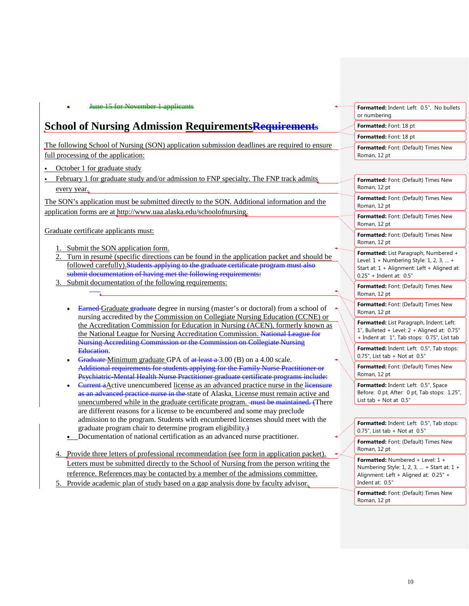#### • June 15 for November 1 applicants

## **School of Nursing Admission RequirementsRequirements**

The following School of Nursing (SON) application submission deadlines are required to ensure full processing of the application:

- October 1 for graduate study
- February 1 for graduate study and/or admission to FNP specialty. The FNP track admits every year.

The SON's application must be submitted directly to the SON. Additional information and the application forms are at [http://www.uaa.alaska.edu/schoolofnursing.](http://www.uaa.alaska.edu/schoolofnursing)

Graduate certificate applicants must:

- Submit the SON application form.
- 2. Turn in resumè (specific directions can be found in the application packet and should be followed carefully). Students applying to the graduate certificate program must also submit documentation of having met the following requirements:
- Submit documentation of the following requirements:
	- Earned Graduate graduate degree in nursing (master's or doctoral) from a school of nursing accredited by the Commission on Collegiate Nursing Education (CCNE) or the Accreditation Commission for Education in Nursing (ACEN), formerly known as the National League for Nursing Accreditation Commission. National League for Nursing Accrediting Commission or the Commission on Collegiate Nursing Education.
	- Graduate Minimum graduate GPA of  $at$  least  $a$  3.00 (B) on a 4.00 scale. Additional requirements for students applying for the Family Nurse Practitioner or Psychiatric-Mental Health Nurse Practitioner graduate certificate programs include:
	- <del>Current a</del>Active unencumbered license as an advanced practice nurse in the licensure as an advanced practice nurse in the state of Alaska. License must remain active and unencumbered while in the graduate certificate program. <del>must be maintained.</del> (There are different reasons for a license to be encumbered and some may preclude admission to the program. Students with encumbered licenses should meet with the graduate program chair to determine program eligibility.)
	- Documentation of national certification as an advanced nurse practitioner.
- 4. Provide three letters of professional recommendation (see form in application packet). Letters must be submitted directly to the School of Nursing from the person writing the reference. References may be contacted by a member of the admissions committee.
- Provide academic plan of study based on a gap analysis done by faculty advisor.

| Formatted: Indent: Left: 0.5", No bullets<br>or numbering |
|-----------------------------------------------------------|
| Formatted: Font: 18 pt                                    |
| Formatted: Font: 18 pt                                    |
| <b>Formatted:</b> Font: (Default) Times New               |

Roman, 12 pt

| Formatted: Font: (Default) Times New<br>Roman, 12 pt                                                                                                       |
|------------------------------------------------------------------------------------------------------------------------------------------------------------|
| Formatted: Font: (Default) Times New<br>Roman, 12 pt                                                                                                       |
| Formatted: Font: (Default) Times New<br>Roman, 12 pt                                                                                                       |
| Formatted: Font: (Default) Times New<br>Roman, 12 pt                                                                                                       |
| Formatted: List Paragraph, Numbered +<br>Level: 1 + Numbering Style: 1, 2, 3,  +<br>Start at: 1 + Alignment: Left + Aligned at:<br>0.25" + Indent at: 0.5" |
| Formatted: Font: (Default) Times New<br>Roman, 12 pt                                                                                                       |
| Formatted: Font: (Default) Times New<br>Roman, 12 pt                                                                                                       |
| Formatted: List Paragraph, Indent: Left:<br>1", Bulleted + Level: 2 + Aligned at: 0.75"<br>+ Indent at: 1", Tab stops: 0.75", List tab                     |
| Formatted: Indent: Left: 0.5", Tab stops:<br>0.75", List tab + Not at 0.5"                                                                                 |
| Formatted: Font: (Default) Times New<br>Roman, 12 pt                                                                                                       |
| Formatted: Indent: Left: 0.5", Space<br>Before: 0 pt, After: 0 pt, Tab stops: 1.25",<br>List tab + Not at 0.5"                                             |
|                                                                                                                                                            |

**Formatted:** Indent: Left: 0.5", Tab stops: 0.75", List tab + Not at 0.5"

**Formatted:** Font: (Default) Times New Roman, 12 pt

**Formatted:** Numbered + Level: 1 + Numbering Style: 1, 2, 3, … + Start at: 1 + Alignment: Left + Aligned at: 0.25" + Indent at: 0.5"

**Formatted:** Font: (Default) Times New Roman, 12 pt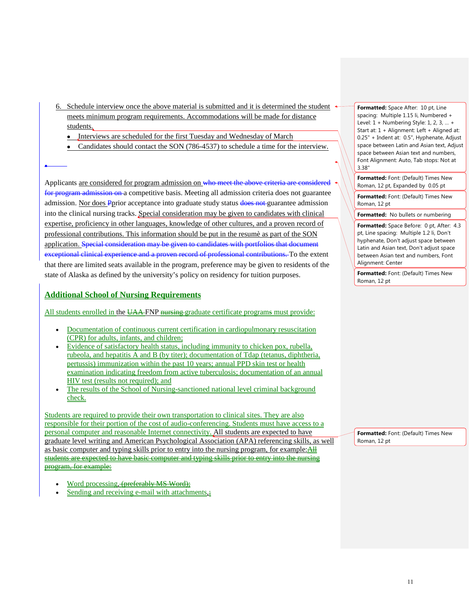- 6. Schedule interview once the above material is submitted and it is determined the student meets minimum program requirements. Accommodations will be made for distance students.
	- Interviews are scheduled for the first Tuesday and Wednesday of March
	- Candidates should contact the SON (786-4537) to schedule a time for the interview.

Applicants are considered for program admission on who meet the above criteria are considered for program admission on a competitive basis. Meeting all admission criteria does not guarantee admission. Nor does Pprior acceptance into graduate study status does not guarantee admission into the clinical nursing tracks. Special consideration may be given to candidates with clinical expertise, proficiency in other languages, knowledge of other cultures, and a proven record of professional contributions. This information should be put in the resumè as part of the SON application. Special consideration may be given to candidates with portfolios that document exceptional clinical experience and a proven record of professional contributions. To the extent that there are limited seats available in the program, preference may be given to residents of the state of Alaska as defined by the university's policy on residency for tuition purposes.

#### **Additional School of Nursing Requirements**

•

All students enrolled in the UAA-FNP nursing graduate certificate programs must provide:

- Documentation of continuous current certification in cardiopulmonary resuscitation (CPR) for adults, infants, and children;
- Evidence of satisfactory health status, including immunity to chicken pox, rubella, rubeola, and hepatitis A and B (by titer); documentation of Tdap (tetanus, diphtheria, pertussis) immunization within the past 10 years; annual PPD skin test or health examination indicating freedom from active tuberculosis; documentation of an annual HIV test (results not required); and
- The results of the School of Nursing-sanctioned national level criminal background check.

Students are required to provide their own transportation to clinical sites. They are also responsible for their portion of the cost of audio-conferencing. Students must have access to a personal computer and reasonable Internet connectivity. All students are expected to have graduate level writing and American Psychological Association (APA) referencing skills, as well as basic computer and typing skills prior to entry into the nursing program, for example: All students are expected to have basic computer and typing skills prior to entry into the nursing program, for example:

- Word processing, (preferably MS Word);
- Sending and receiving e-mail with attachments,;

**Formatted:** Space After: 10 pt. Line spacing: Multiple 1.15 li, Numbered + Level: 1 + Numbering Style: 1, 2, 3, … + Start at: 1 + Alignment: Left + Aligned at: 0.25" + Indent at: 0.5", Hyphenate, Adjust space between Latin and Asian text, Adjust space between Asian text and numbers, Font Alignment: Auto, Tab stops: Not at 3.38"

**Formatted:** Font: (Default) Times New Roman, 12 pt, Expanded by 0.05 pt

**Formatted:** Font: (Default) Times New Roman, 12 pt

**Formatted:** No bullets or numbering

**Formatted:** Space Before: 0 pt, After: 4.3 pt, Line spacing: Multiple 1.2 li, Don't hyphenate, Don't adjust space between Latin and Asian text, Don't adjust space between Asian text and numbers, Font Alignment: Center

**Formatted:** Font: (Default) Times New Roman, 12 pt

**Formatted:** Font: (Default) Times New Roman, 12 pt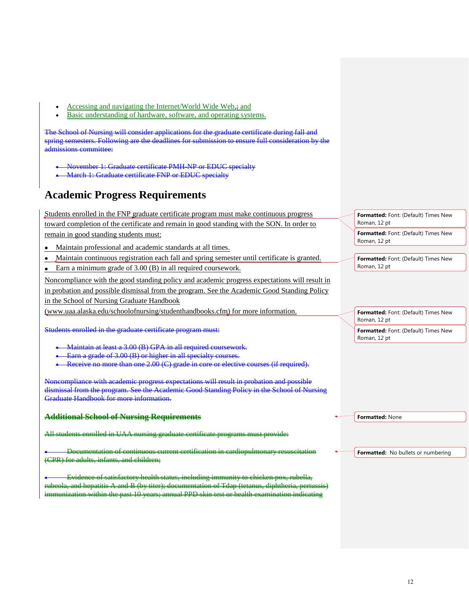- Accessing and navigating the Internet/World Wide Web,; and
- Basic understanding of hardware, software, and operating systems.

The School of Nursing will consider applications for the graduate certificate during fall and spring semesters. Following are the deadlines for submission to ensure full consideration by the admissions committee:

- November 1: Graduate certificate PMH-NP or EDUC specialty
- March 1: Graduate certificate FNP or EDUC specialty

## **Academic Progress Requirements**

Students enrolled in the FNP graduate certificate program must make continuous progress toward completion of the certificate and remain in good standing with the SON. In order to remain in good standing students must: • Maintain professional and academic standards at all times. **Formatted:** Font: (Default) Times New Roman, 12 pt **Formatted:** Font: (Default) Times New Roman, 12 pt

- Maintain continuous registration each fall and spring semester until certificate is granted.
- Earn a minimum grade of 3.00 (B) in all required coursework.

Noncompliance with the good standing policy and academic progress expectations will result in in probation and possible dismissal from the program. See the Academic Good Standing Policy in the School of Nursing Graduate Handbook

[\(www.uaa.alaska.edu/schoolofnursing/studenthandbooks.cfm\)](http://www.uaa.alaska.edu/schoolofnursing/studenthandbooks.cfm) for more information.

Students enrolled in the graduate certificate program must:

- Maintain at least a 3.00 (B) GPA in all required coursework.
- Earn a grade of 3.00 (B) or higher in all specialty courses
- Receive no more than one 2.00 (C) grade in core or elective courses (if required).

Noncompliance with academic progress expectations will result in probation and possible dismissal from the program. See the Academic Good Standing Policy in the School of Nursing Graduate Handbook for more information.

#### **Additional School of Nursing Requirements**

All students enrolled in UAA nursing graduate certificate programs must provide:

• Documentation of continuous current certification in cardiopulmonary resuscitation (CPR) for adults, infants, and children;

• Evidence of satisfactory health status, including immunity to chicken pox, rubella, rola, and hepatitis A and B (by titer); documentation of Tdap (tetanus, diphtheria, per immunization within the past 10 years; annual PPD skin test or health examination indicating **Formatted:** Font: (Default) Times New Roman, 12 pt

**Formatted:** Font: (Default) Times New Roman, 12 pt

**Formatted:** Font: (Default) Times New Roman, 12 pt

**Formatted:** None

**Formatted:** No bullets or numbering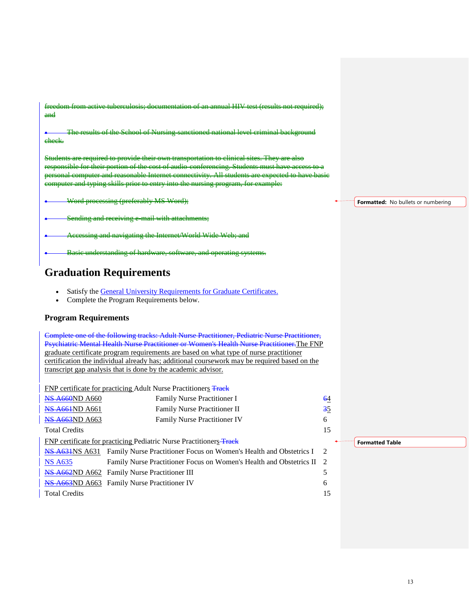| freedom from active tuberculosis; documentation of an annual HIV test (results not required);<br>and                                                                                                                                                                                                                                                                                 |    |
|--------------------------------------------------------------------------------------------------------------------------------------------------------------------------------------------------------------------------------------------------------------------------------------------------------------------------------------------------------------------------------------|----|
| The results of the School of Nursing-sanctioned national level criminal background<br>eheek.                                                                                                                                                                                                                                                                                         |    |
| Students are required to provide their own transportation to clinical sites. They are also<br>responsible for their portion of the cost of audio-conferencing. Students must have access to a<br>personal computer and reasonable Internet connectivity. All students are expected to have basie<br>computer and typing skills prior to entry into the nursing program, for example: |    |
| Word processing (preferably MS Word);                                                                                                                                                                                                                                                                                                                                                | Fo |
| Sending and receiving e-mail with attachments;                                                                                                                                                                                                                                                                                                                                       |    |
| Accessing and navigating the Internet/World Wide Web; and                                                                                                                                                                                                                                                                                                                            |    |
| Basic understanding of hardware, software, and operating systems.                                                                                                                                                                                                                                                                                                                    |    |

## **Graduation Requirements**

- Satisfy the [General University Requirements for Graduate Certificates.](http://catalog.uaa.alaska.edu/graduateprograms/gradcertrequirements/)
- Complete the Program Requirements below.

#### **Program Requirements**

Complete one of the following tracks: Adult Nurse Practitioner, Pediatric Nurse Practitioner, Psychiatric Mental Health Nurse Practitioner or Women's Health Nurse Practitioner.The FNP graduate certificate program requirements are based on what type of nurse practitioner certification the individual already has; additional coursework may be required based on the transcript gap analysis that is done by the academic advisor.

FNP certificate for practicing Adult Nurse Practitioners Track

| <b>NS A660ND A660</b>  | Family Nurse Practitioner I                                                               | 64  |
|------------------------|-------------------------------------------------------------------------------------------|-----|
| <b>NS A661</b> ND A661 | Family Nurse Practitioner II                                                              | 35  |
| <b>NS A663ND A663</b>  | <b>Family Nurse Practitioner IV</b>                                                       | 6   |
| <b>Total Credits</b>   |                                                                                           | 15  |
|                        | FNP certificate for practicing Pediatric Nurse Practitioners-Track                        |     |
|                        | <b>NS A631</b> NS A631 Family Nurse Practitioner Focus on Women's Health and Obstetrics I | - 2 |
| <b>NS A635</b>         | Family Nurse Practitioner Focus on Women's Health and Obstetrics II 2                     |     |
|                        | <b>NS A662ND A662</b> Family Nurse Practitioner III                                       | 5   |
|                        | <b>NS A663ND A663</b> Family Nurse Practitioner IV                                        | 6   |
| <b>Total Credits</b>   |                                                                                           | 15  |
|                        |                                                                                           |     |

**Fratted:** No bullets or numbering

**Formatted Table**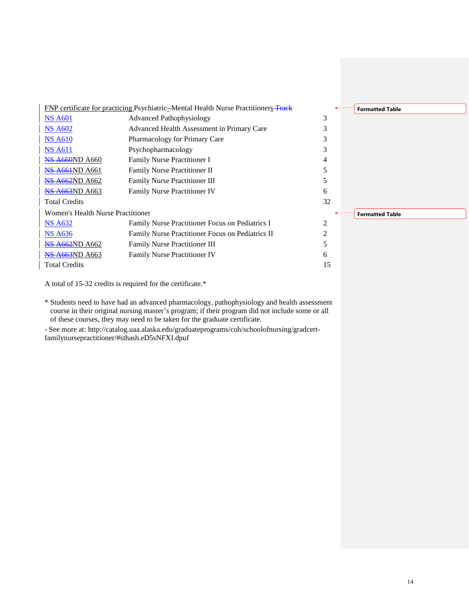

A total of 15-32 credits is required for the certificate.\*

\* Students need to have had an advanced pharmacology, pathophysiology and health assessment course in their original nursing master's program; if their program did not include some or all of these courses, they may need to be taken for the graduate certificate.

- See more at: http://catalog.uaa.alaska.edu/graduateprograms/coh/schoolofnursing/gradcertfamilynursepractitioner/#sthash.eD5sNFXI.dpuf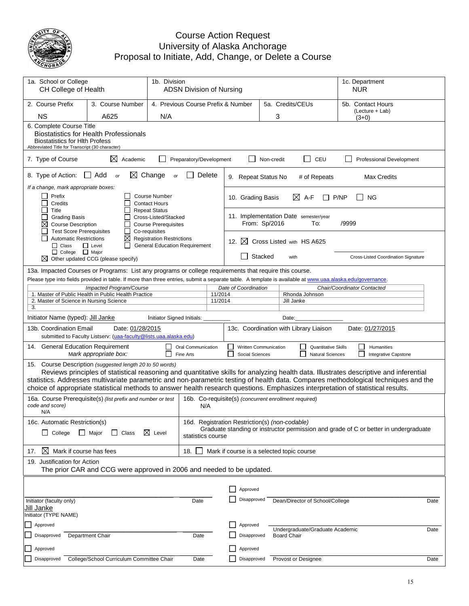

### Course Action Request University of Alaska Anchorage Proposal to Initiate, Add, Change, or Delete a Course

| 1a. School or College<br>CH College of Health                                                                                                                                                                                                                                                                                                                                                                                                                                 |                                                                                                                                                                       |                                                                                              | 1b. Division<br><b>ADSN Division of Nursing</b>                                                           |                                                                                                                                                                                                                  |                                                          |            |                                                                | 1c. Department<br><b>NUR</b>               |
|-------------------------------------------------------------------------------------------------------------------------------------------------------------------------------------------------------------------------------------------------------------------------------------------------------------------------------------------------------------------------------------------------------------------------------------------------------------------------------|-----------------------------------------------------------------------------------------------------------------------------------------------------------------------|----------------------------------------------------------------------------------------------|-----------------------------------------------------------------------------------------------------------|------------------------------------------------------------------------------------------------------------------------------------------------------------------------------------------------------------------|----------------------------------------------------------|------------|----------------------------------------------------------------|--------------------------------------------|
| 2. Course Prefix                                                                                                                                                                                                                                                                                                                                                                                                                                                              | 3. Course Number                                                                                                                                                      | 4. Previous Course Prefix & Number                                                           |                                                                                                           |                                                                                                                                                                                                                  |                                                          |            | 5a. Credits/CEUs                                               | 5b. Contact Hours                          |
| <b>NS</b>                                                                                                                                                                                                                                                                                                                                                                                                                                                                     | A625                                                                                                                                                                  | N/A                                                                                          |                                                                                                           |                                                                                                                                                                                                                  |                                                          | 3          |                                                                | (Lecture + Lab)<br>$(3+0)$                 |
|                                                                                                                                                                                                                                                                                                                                                                                                                                                                               | 6. Complete Course Title<br><b>Biostatistics for Health Professionals</b><br><b>Biostatistics for Hith Profess</b><br>Abbreviated Title for Transcript (30 character) |                                                                                              |                                                                                                           |                                                                                                                                                                                                                  |                                                          |            |                                                                |                                            |
| 7. Type of Course                                                                                                                                                                                                                                                                                                                                                                                                                                                             | ⊠<br>Academic                                                                                                                                                         |                                                                                              | Preparatory/Development                                                                                   |                                                                                                                                                                                                                  |                                                          | Non-credit | CEU<br>- 1                                                     | Professional Development                   |
| 8. Type of Action:                                                                                                                                                                                                                                                                                                                                                                                                                                                            | Add<br>⋈<br>$\mathbf{I}$<br><b>or</b>                                                                                                                                 | Change<br>or                                                                                 | Delete                                                                                                    |                                                                                                                                                                                                                  | 9. Repeat Status No                                      |            | # of Repeats                                                   | <b>Max Credits</b>                         |
| If a change, mark appropriate boxes:<br>Prefix<br>Credits                                                                                                                                                                                                                                                                                                                                                                                                                     |                                                                                                                                                                       | <b>Course Number</b><br><b>Contact Hours</b>                                                 |                                                                                                           | $\boxtimes$ A-F<br>10. Grading Basis<br>P/NP<br><b>NG</b>                                                                                                                                                        |                                                          |            |                                                                |                                            |
| Title<br>П<br><b>Grading Basis</b><br>⊠<br><b>Course Description</b><br><b>Test Score Prerequisites</b>                                                                                                                                                                                                                                                                                                                                                                       | П                                                                                                                                                                     | <b>Repeat Status</b><br>Cross-Listed/Stacked<br><b>Course Prerequisites</b><br>Co-requisites |                                                                                                           | 11. Implementation Date semester/year<br>From: Sp/2016<br>To:<br>/9999                                                                                                                                           |                                                          |            |                                                                |                                            |
| <b>Automatic Restrictions</b><br>$\Box$ Class                                                                                                                                                                                                                                                                                                                                                                                                                                 | ⊠<br>$\Box$ Level<br>$\mathsf{L}$                                                                                                                                     | <b>Registration Restrictions</b><br><b>General Education Requirement</b>                     |                                                                                                           |                                                                                                                                                                                                                  | 12. $\times$                                             |            | Cross Listed with HS A625                                      |                                            |
| $\Box$ College $\Box$ Major                                                                                                                                                                                                                                                                                                                                                                                                                                                   | $\boxtimes$ Other updated CCG (please specify)                                                                                                                        |                                                                                              |                                                                                                           |                                                                                                                                                                                                                  |                                                          | Stacked    | with                                                           | <b>Cross-Listed Coordination Signature</b> |
|                                                                                                                                                                                                                                                                                                                                                                                                                                                                               | 13a. Impacted Courses or Programs: List any programs or college requirements that require this course.                                                                |                                                                                              |                                                                                                           |                                                                                                                                                                                                                  |                                                          |            |                                                                |                                            |
|                                                                                                                                                                                                                                                                                                                                                                                                                                                                               | Impacted Program/Course                                                                                                                                               |                                                                                              |                                                                                                           | Please type into fields provided in table. If more than three entries, submit a separate table. A template is available at www.uaa.alaska.edu/governance.<br>Date of Coordination<br>Chair/Coordinator Contacted |                                                          |            |                                                                |                                            |
|                                                                                                                                                                                                                                                                                                                                                                                                                                                                               | 1. Master of Public Health in Public Health Practice                                                                                                                  |                                                                                              |                                                                                                           | 11/2014                                                                                                                                                                                                          |                                                          |            | Rhonda Johnson                                                 |                                            |
| 2. Master of Science in Nursing Science<br>3.                                                                                                                                                                                                                                                                                                                                                                                                                                 |                                                                                                                                                                       |                                                                                              |                                                                                                           | 11/2014                                                                                                                                                                                                          |                                                          |            | Jill Janke                                                     |                                            |
| Initiator Name (typed): Jill Janke                                                                                                                                                                                                                                                                                                                                                                                                                                            |                                                                                                                                                                       | Initiator Signed Initials:                                                                   |                                                                                                           |                                                                                                                                                                                                                  |                                                          |            | Date:                                                          |                                            |
| 13b. Coordination Email                                                                                                                                                                                                                                                                                                                                                                                                                                                       | Date: 01/28/2015<br>submitted to Faculty Listserv: (uaa-faculty@lists.uaa.alaska.edu)                                                                                 |                                                                                              |                                                                                                           |                                                                                                                                                                                                                  |                                                          |            | 13c. Coordination with Library Liaison                         | Date: 01/27/2015                           |
| 14. General Education Requirement<br>Oral Communication<br>Mark appropriate box:<br>$\mathbf{L}$<br>Fine Arts                                                                                                                                                                                                                                                                                                                                                                 |                                                                                                                                                                       |                                                                                              |                                                                                                           |                                                                                                                                                                                                                  | Written Communication<br>$\mathsf{I}$<br>Social Sciences |            | Quantitative Skills<br>$\mathsf{I}$<br><b>Natural Sciences</b> | Humanities<br>ΙI<br>Integrative Capstone   |
| 15. Course Description (suggested length 20 to 50 words)<br>Reviews principles of statistical reasoning and quantitative skills for analyzing health data. Illustrates descriptive and inferential<br>statistics. Addresses multivariate parametric and non-parametric testing of health data. Compares methodological techniques and the<br>choice of appropriate statistical methods to answer health research questions. Emphasizes interpretation of statistical results. |                                                                                                                                                                       |                                                                                              |                                                                                                           |                                                                                                                                                                                                                  |                                                          |            |                                                                |                                            |
| 16a. Course Prerequisite(s) (list prefix and number or test<br>code and score)<br>N/A                                                                                                                                                                                                                                                                                                                                                                                         |                                                                                                                                                                       |                                                                                              | 16b. Co-requisite(s) (concurrent enrollment required)<br>N/A                                              |                                                                                                                                                                                                                  |                                                          |            |                                                                |                                            |
| 16c. Automatic Restriction(s)                                                                                                                                                                                                                                                                                                                                                                                                                                                 |                                                                                                                                                                       |                                                                                              | 16d. Registration Restriction(s) (non-codable)                                                            |                                                                                                                                                                                                                  |                                                          |            |                                                                |                                            |
| $\Box$ Major<br>$\Box$ College<br>Class<br>⋈<br>Level<br>$\Box$                                                                                                                                                                                                                                                                                                                                                                                                               |                                                                                                                                                                       |                                                                                              | Graduate standing or instructor permission and grade of C or better in undergraduate<br>statistics course |                                                                                                                                                                                                                  |                                                          |            |                                                                |                                            |
| ⊠<br>Mark if course has fees<br>18.<br>17.                                                                                                                                                                                                                                                                                                                                                                                                                                    |                                                                                                                                                                       |                                                                                              |                                                                                                           | Mark if course is a selected topic course                                                                                                                                                                        |                                                          |            |                                                                |                                            |
| 19. Justification for Action<br>The prior CAR and CCG were approved in 2006 and needed to be updated.                                                                                                                                                                                                                                                                                                                                                                         |                                                                                                                                                                       |                                                                                              |                                                                                                           |                                                                                                                                                                                                                  |                                                          |            |                                                                |                                            |
|                                                                                                                                                                                                                                                                                                                                                                                                                                                                               |                                                                                                                                                                       |                                                                                              |                                                                                                           |                                                                                                                                                                                                                  |                                                          |            |                                                                |                                            |
|                                                                                                                                                                                                                                                                                                                                                                                                                                                                               |                                                                                                                                                                       |                                                                                              |                                                                                                           |                                                                                                                                                                                                                  | Approved                                                 |            |                                                                |                                            |
| Initiator (faculty only)<br>Date<br>Jill Janke                                                                                                                                                                                                                                                                                                                                                                                                                                |                                                                                                                                                                       |                                                                                              |                                                                                                           |                                                                                                                                                                                                                  | Disapproved                                              |            | Dean/Director of School/College                                | Date                                       |
| Initiator (TYPE NAME)                                                                                                                                                                                                                                                                                                                                                                                                                                                         |                                                                                                                                                                       |                                                                                              |                                                                                                           |                                                                                                                                                                                                                  |                                                          |            |                                                                |                                            |
| Approved<br>Disapproved                                                                                                                                                                                                                                                                                                                                                                                                                                                       |                                                                                                                                                                       |                                                                                              |                                                                                                           |                                                                                                                                                                                                                  | Approved<br>Disapproved                                  |            | Undergraduate/Graduate Academic                                | Date                                       |
|                                                                                                                                                                                                                                                                                                                                                                                                                                                                               | Department Chair                                                                                                                                                      |                                                                                              | Date                                                                                                      |                                                                                                                                                                                                                  |                                                          |            | <b>Board Chair</b>                                             |                                            |
| Approved                                                                                                                                                                                                                                                                                                                                                                                                                                                                      |                                                                                                                                                                       |                                                                                              |                                                                                                           |                                                                                                                                                                                                                  | Approved                                                 |            |                                                                |                                            |
| Disapproved                                                                                                                                                                                                                                                                                                                                                                                                                                                                   | College/School Curriculum Committee Chair                                                                                                                             |                                                                                              | Date                                                                                                      |                                                                                                                                                                                                                  | Disapproved                                              |            | Provost or Designee                                            | Date                                       |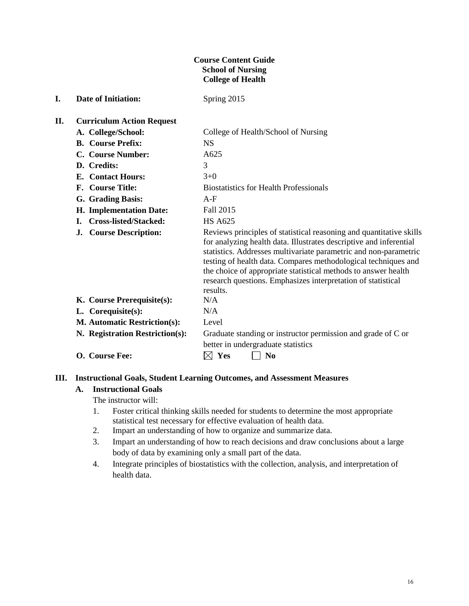#### **Course Content Guide School of Nursing College of Health**

| <b>Curriculum Action Request</b>    |                                                                                                                                                                                                                                                                                                                                                                                                                               |
|-------------------------------------|-------------------------------------------------------------------------------------------------------------------------------------------------------------------------------------------------------------------------------------------------------------------------------------------------------------------------------------------------------------------------------------------------------------------------------|
| A. College/School:                  | College of Health/School of Nursing                                                                                                                                                                                                                                                                                                                                                                                           |
| <b>B.</b> Course Prefix:            | <b>NS</b>                                                                                                                                                                                                                                                                                                                                                                                                                     |
| C. Course Number:                   | A625                                                                                                                                                                                                                                                                                                                                                                                                                          |
| D. Credits:                         | 3                                                                                                                                                                                                                                                                                                                                                                                                                             |
| <b>E.</b> Contact Hours:            | $3+0$                                                                                                                                                                                                                                                                                                                                                                                                                         |
| F. Course Title:                    | <b>Biostatistics for Health Professionals</b>                                                                                                                                                                                                                                                                                                                                                                                 |
| G. Grading Basis:                   | $A-F$                                                                                                                                                                                                                                                                                                                                                                                                                         |
| H. Implementation Date:             | Fall 2015                                                                                                                                                                                                                                                                                                                                                                                                                     |
| <b>Cross-listed/Stacked:</b><br>L.  | <b>HS A625</b>                                                                                                                                                                                                                                                                                                                                                                                                                |
| <b>Course Description:</b><br>J.    | Reviews principles of statistical reasoning and quantitative skills<br>for analyzing health data. Illustrates descriptive and inferential<br>statistics. Addresses multivariate parametric and non-parametric<br>testing of health data. Compares methodological techniques and<br>the choice of appropriate statistical methods to answer health<br>research questions. Emphasizes interpretation of statistical<br>results. |
| K. Course Prerequisite(s):          | N/A                                                                                                                                                                                                                                                                                                                                                                                                                           |
| L. Corequisite(s):                  | N/A                                                                                                                                                                                                                                                                                                                                                                                                                           |
| <b>M. Automatic Restriction(s):</b> | Level                                                                                                                                                                                                                                                                                                                                                                                                                         |
| N. Registration Restriction(s):     | Graduate standing or instructor permission and grade of C or<br>better in undergraduate statistics                                                                                                                                                                                                                                                                                                                            |
| O. Course Fee:                      | $\boxtimes$<br>Yes<br>$\bf No$                                                                                                                                                                                                                                                                                                                                                                                                |
|                                     |                                                                                                                                                                                                                                                                                                                                                                                                                               |

#### **III. Instructional Goals, Student Learning Outcomes, and Assessment Measures**

## **A. Instructional Goals**

**I. Date of Initiation:** Spring 2015

The instructor will:

- 1. Foster critical thinking skills needed for students to determine the most appropriate statistical test necessary for effective evaluation of health data.
- 2. Impart an understanding of how to organize and summarize data.
- 3. Impart an understanding of how to reach decisions and draw conclusions about a large body of data by examining only a small part of the data.
- 4. Integrate principles of biostatistics with the collection, analysis, and interpretation of health data.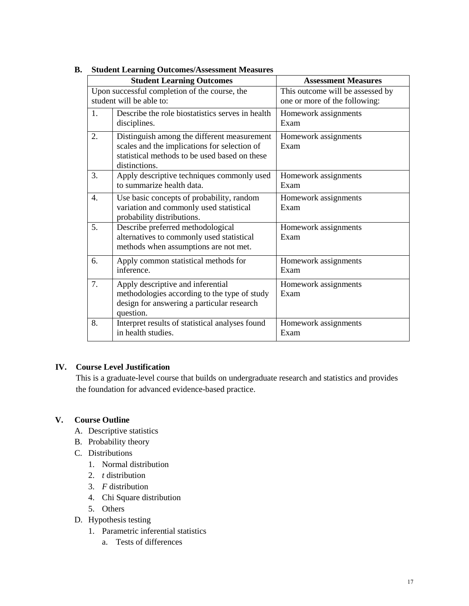|                  | stuucht Leaf miig Outcomes/Assessment Measures   |                                  |  |  |  |  |
|------------------|--------------------------------------------------|----------------------------------|--|--|--|--|
|                  | <b>Student Learning Outcomes</b>                 | <b>Assessment Measures</b>       |  |  |  |  |
|                  | Upon successful completion of the course, the    | This outcome will be assessed by |  |  |  |  |
|                  | student will be able to:                         | one or more of the following:    |  |  |  |  |
| $\mathbf{1}$ .   | Describe the role biostatistics serves in health | Homework assignments             |  |  |  |  |
|                  | disciplines.                                     | Exam                             |  |  |  |  |
| 2.               | Distinguish among the different measurement      | Homework assignments             |  |  |  |  |
|                  | scales and the implications for selection of     | Exam                             |  |  |  |  |
|                  | statistical methods to be used based on these    |                                  |  |  |  |  |
|                  | distinctions.                                    |                                  |  |  |  |  |
| 3.               | Apply descriptive techniques commonly used       | Homework assignments             |  |  |  |  |
|                  | to summarize health data.                        | Exam                             |  |  |  |  |
| $\overline{4}$ . | Use basic concepts of probability, random        | Homework assignments             |  |  |  |  |
|                  | variation and commonly used statistical          | Exam                             |  |  |  |  |
|                  | probability distributions.                       |                                  |  |  |  |  |
| 5.               | Describe preferred methodological                | Homework assignments             |  |  |  |  |
|                  | alternatives to commonly used statistical        | Exam                             |  |  |  |  |
|                  | methods when assumptions are not met.            |                                  |  |  |  |  |
| 6.               | Apply common statistical methods for             | Homework assignments             |  |  |  |  |
|                  | inference.                                       | Exam                             |  |  |  |  |
| 7.               | Apply descriptive and inferential                | Homework assignments             |  |  |  |  |
|                  | methodologies according to the type of study     | Exam                             |  |  |  |  |
|                  | design for answering a particular research       |                                  |  |  |  |  |
|                  | question.                                        |                                  |  |  |  |  |
| 8.               | Interpret results of statistical analyses found  | Homework assignments             |  |  |  |  |
|                  | in health studies.                               | Exam                             |  |  |  |  |
|                  |                                                  |                                  |  |  |  |  |

#### **B. Student Learning Outcomes/Assessment Measures**

#### **IV. Course Level Justification**

This is a graduate-level course that builds on undergraduate research and statistics and provides the foundation for advanced evidence-based practice.

#### **V. Course Outline**

- A. Descriptive statistics
- B. Probability theory
- C. Distributions
	- 1. Normal distribution
	- 2. *t* distribution
	- 3. *F* distribution
	- 4. Chi Square distribution
	- 5. Others
- D. Hypothesis testing
	- 1. Parametric inferential statistics
		- a. Tests of differences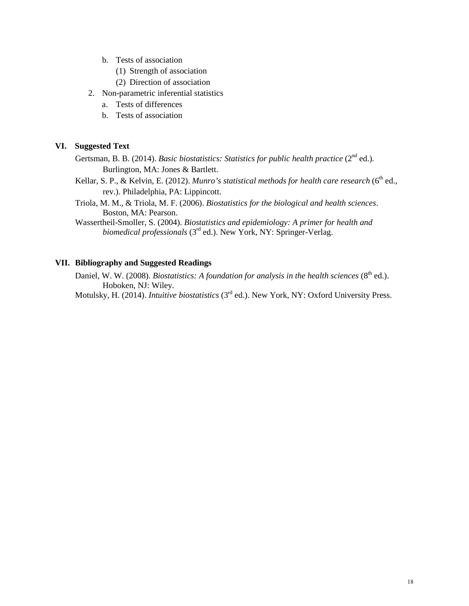- b. Tests of association
	- (1) Strength of association
	- (2) Direction of association
- 2. Non-parametric inferential statistics
	- a. Tests of differences
	- b. Tests of association

#### **VI. Suggested Text**

- Gertsman, B. B. (2014). *Basic biostatistics: Statistics for public health practice* (2<sup>nd</sup> ed.). Burlington, MA: Jones & Bartlett.
- Kellar, S. P., & Kelvin, E. (2012). *Munro's statistical methods for health care research* (6<sup>th</sup> ed., rev.). Philadelphia, PA: Lippincott.
- Triola, M. M., & Triola, M. F. (2006). *Biostatistics for the biological and health sciences*. Boston, MA: Pearson.
- Wassertheil-Smoller, S. (2004). *Biostatistics and epidemiology: A primer for health and biomedical professionals* (3<sup>rd</sup> ed.). New York, NY: Springer-Verlag.

#### **VII. Bibliography and Suggested Readings**

Daniel, W. W. (2008). *Biostatistics: A foundation for analysis in the health sciences* (8<sup>th</sup> ed.). Hoboken, NJ: Wiley.

Motulsky, H. (2014). *Intuitive biostatistics* (3rd ed.). New York, NY: Oxford University Press.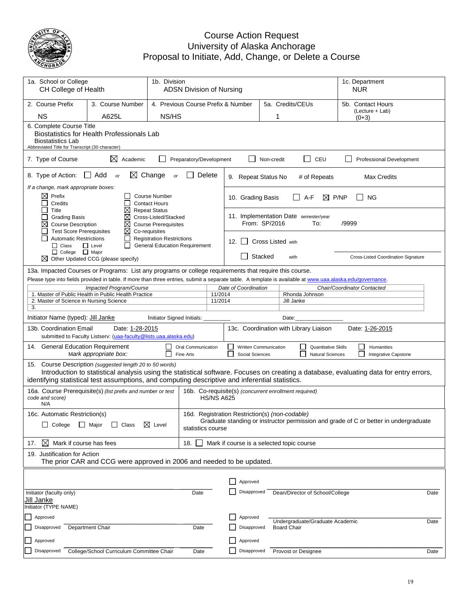

#### Course Action Request University of Alaska Anchorage Proposal to Initiate, Add, Change, or Delete a Course

| 1a. School or College<br>CH College of Health                                                                                                                                                                                                                                                         | 1b. Division<br><b>ADSN Division of Nursing</b>                                                                                                                              |                                                                                              |                                 |                    |                                                       |            |                                       |                                                       | <b>NUR</b>        | 1c. Department                                      |      |
|-------------------------------------------------------------------------------------------------------------------------------------------------------------------------------------------------------------------------------------------------------------------------------------------------------|------------------------------------------------------------------------------------------------------------------------------------------------------------------------------|----------------------------------------------------------------------------------------------|---------------------------------|--------------------|-------------------------------------------------------|------------|---------------------------------------|-------------------------------------------------------|-------------------|-----------------------------------------------------|------|
| 2. Course Prefix                                                                                                                                                                                                                                                                                      | 3. Course Number                                                                                                                                                             | 5a. Credits/CEUs<br>4. Previous Course Prefix & Number                                       |                                 |                    |                                                       |            |                                       |                                                       | 5b. Contact Hours |                                                     |      |
| <b>NS</b>                                                                                                                                                                                                                                                                                             | A625L                                                                                                                                                                        |                                                                                              | NS/HS                           |                    |                                                       |            | 1                                     |                                                       |                   | (Lecture + Lab)<br>$(0+3)$                          |      |
| <b>Biostatistics Lab</b>                                                                                                                                                                                                                                                                              | 6. Complete Course Title<br>Biostatistics for Health Professionals Lab<br>Abbreviated Title for Transcript (30 character)                                                    |                                                                                              |                                 |                    |                                                       |            |                                       |                                                       |                   |                                                     |      |
| 7. Type of Course                                                                                                                                                                                                                                                                                     | ⊠<br>Academic                                                                                                                                                                |                                                                                              | Preparatory/Development         |                    |                                                       | Non-credit |                                       | $\overline{\phantom{0}}$<br>CEU                       |                   | Professional Development                            |      |
| $\Box$ Add<br>⊠<br>Change<br>8. Type of Action:<br>Delete<br><b>or</b><br>or<br>9. Repeat Status No<br># of Repeats<br><b>Max Credits</b>                                                                                                                                                             |                                                                                                                                                                              |                                                                                              |                                 |                    |                                                       |            |                                       |                                                       |                   |                                                     |      |
| If a change, mark appropriate boxes:<br>Prefix<br>⊠<br>Credits                                                                                                                                                                                                                                        |                                                                                                                                                                              | <b>Course Number</b><br><b>Contact Hours</b>                                                 |                                 |                    | 10. Grading Basis                                     |            |                                       | $A-F$<br>P/NP<br>$\bowtie$                            |                   | NG.                                                 |      |
| Title<br><b>Grading Basis</b><br>⊠<br><b>Course Description</b><br><b>Test Score Prerequisites</b>                                                                                                                                                                                                    | ⊠<br>X<br>⊠<br>⊠                                                                                                                                                             | <b>Repeat Status</b><br>Cross-Listed/Stacked<br><b>Course Prerequisites</b><br>Co-requisites |                                 |                    | From: SP/2016                                         |            | 11. Implementation Date semester/year | To:                                                   | /9999             |                                                     |      |
| П<br><b>Automatic Restrictions</b><br>$\Box$ Class<br>□ College □ Major                                                                                                                                                                                                                               | П<br>$\mathsf{L}$<br>$\Box$ Level                                                                                                                                            | <b>Registration Restrictions</b><br><b>General Education Requirement</b>                     |                                 |                    | 12.                                                   |            | <b>Cross Listed with</b>              |                                                       |                   |                                                     |      |
|                                                                                                                                                                                                                                                                                                       | $\boxtimes$ Other Updated CCG (please specify)                                                                                                                               |                                                                                              |                                 |                    | $\blacksquare$                                        | Stacked    | with                                  |                                                       |                   | Cross-Listed Coordination Signature                 |      |
| 13a. Impacted Courses or Programs: List any programs or college requirements that require this course.<br>Please type into fields provided in table. If more than three entries, submit a separate table. A template is available at www.uaa.alaska.edu/governance.                                   |                                                                                                                                                                              |                                                                                              |                                 |                    |                                                       |            |                                       |                                                       |                   |                                                     |      |
|                                                                                                                                                                                                                                                                                                       | Impacted Program/Course                                                                                                                                                      |                                                                                              |                                 |                    | Date of Coordination                                  |            |                                       |                                                       |                   | Chair/Coordinator Contacted                         |      |
| 2. Master of Science in Nursing Science                                                                                                                                                                                                                                                               | 1. Master of Public Health in Public Health Practice                                                                                                                         |                                                                                              |                                 | 11/2014<br>11/2014 |                                                       |            | Rhonda Johnson<br>Jill Janke          |                                                       |                   |                                                     |      |
| 3.                                                                                                                                                                                                                                                                                                    |                                                                                                                                                                              |                                                                                              |                                 |                    |                                                       |            |                                       |                                                       |                   |                                                     |      |
| Initiator Name (typed): Jill Janke                                                                                                                                                                                                                                                                    |                                                                                                                                                                              | Initiator Signed Initials:                                                                   |                                 |                    |                                                       |            | Date:                                 |                                                       |                   |                                                     |      |
|                                                                                                                                                                                                                                                                                                       | 13c. Coordination with Library Liaison<br>13b. Coordination Email<br>Date: 1-28-2015<br>Date: 1-26-2015<br>submitted to Faculty Listserv: (uaa-faculty@lists.uaa.alaska.edu) |                                                                                              |                                 |                    |                                                       |            |                                       |                                                       |                   |                                                     |      |
| 14. General Education Requirement                                                                                                                                                                                                                                                                     | Mark appropriate box:                                                                                                                                                        |                                                                                              | Oral Communication<br>Fine Arts |                    | Written Communication<br>Social Sciences              |            |                                       | <b>Quantitative Skills</b><br><b>Natural Sciences</b> |                   | ப<br>Humanities<br>П<br><b>Integrative Capstone</b> |      |
| 15. Course Description (suggested length 20 to 50 words)<br>Introduction to statistical analysis using the statistical software. Focuses on creating a database, evaluating data for entry errors,<br>identifying statistical test assumptions, and computing descriptive and inferential statistics. |                                                                                                                                                                              |                                                                                              |                                 |                    |                                                       |            |                                       |                                                       |                   |                                                     |      |
| code and score)<br>N/A                                                                                                                                                                                                                                                                                | 16a. Course Prerequisite(s) (list prefix and number or test                                                                                                                  |                                                                                              |                                 | <b>HS/NS A625</b>  | 16b. Co-requisite(s) (concurrent enrollment required) |            |                                       |                                                       |                   |                                                     |      |
| 16c. Automatic Restriction(s)<br>16d. Registration Restriction(s) (non-codable)<br>Graduate standing or instructor permission and grade of C or better in undergraduate<br>Class<br>$\boxtimes$ Level<br>$\Box$ College<br>□ Major<br>$\perp$<br>statistics course                                    |                                                                                                                                                                              |                                                                                              |                                 |                    |                                                       |            |                                       |                                                       |                   |                                                     |      |
| ⊠<br>Mark if course has fees<br>17.                                                                                                                                                                                                                                                                   |                                                                                                                                                                              |                                                                                              | 18.                             |                    | Mark if course is a selected topic course             |            |                                       |                                                       |                   |                                                     |      |
| 19. Justification for Action<br>The prior CAR and CCG were approved in 2006 and needed to be updated.                                                                                                                                                                                                 |                                                                                                                                                                              |                                                                                              |                                 |                    |                                                       |            |                                       |                                                       |                   |                                                     |      |
|                                                                                                                                                                                                                                                                                                       |                                                                                                                                                                              |                                                                                              |                                 |                    | Approved                                              |            |                                       |                                                       |                   |                                                     |      |
| Initiator (faculty only)                                                                                                                                                                                                                                                                              |                                                                                                                                                                              |                                                                                              |                                 |                    | Disapproved                                           |            |                                       |                                                       |                   |                                                     |      |
| Jill Janke                                                                                                                                                                                                                                                                                            |                                                                                                                                                                              |                                                                                              | Date                            |                    |                                                       |            | Dean/Director of School/College       |                                                       |                   |                                                     | Date |
| Initiator (TYPE NAME)                                                                                                                                                                                                                                                                                 |                                                                                                                                                                              |                                                                                              |                                 |                    |                                                       |            |                                       |                                                       |                   |                                                     |      |
| Approved                                                                                                                                                                                                                                                                                              |                                                                                                                                                                              |                                                                                              |                                 |                    | Approved                                              |            | Undergraduate/Graduate Academic       |                                                       |                   |                                                     | Date |
| Disapproved                                                                                                                                                                                                                                                                                           | Department Chair                                                                                                                                                             |                                                                                              | Date                            |                    | Disapproved                                           |            | <b>Board Chair</b>                    |                                                       |                   |                                                     |      |
| Approved                                                                                                                                                                                                                                                                                              |                                                                                                                                                                              |                                                                                              |                                 |                    | Approved                                              |            |                                       |                                                       |                   |                                                     |      |
| Disapproved                                                                                                                                                                                                                                                                                           | College/School Curriculum Committee Chair                                                                                                                                    |                                                                                              | Date                            |                    | Disapproved                                           |            | Provost or Designee                   |                                                       |                   |                                                     | Date |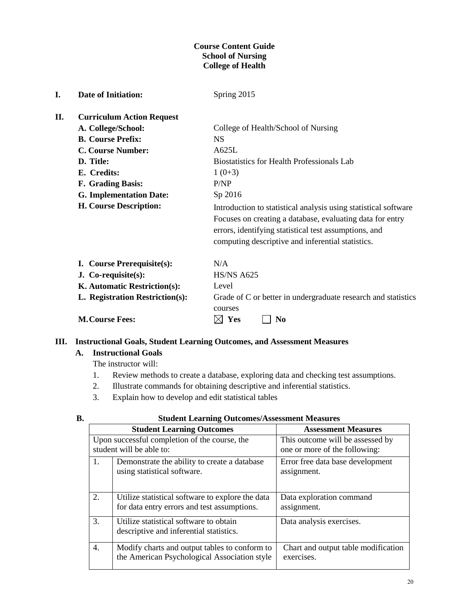#### **Course Content Guide School of Nursing College of Health**

| I. | <b>Date of Initiation:</b>       | Spring 2015                                                                                                                                                                                                                                |
|----|----------------------------------|--------------------------------------------------------------------------------------------------------------------------------------------------------------------------------------------------------------------------------------------|
| П. | <b>Curriculum Action Request</b> |                                                                                                                                                                                                                                            |
|    | A. College/School:               | College of Health/School of Nursing                                                                                                                                                                                                        |
|    | <b>B. Course Prefix:</b>         | <b>NS</b>                                                                                                                                                                                                                                  |
|    | <b>C. Course Number:</b>         | A625L                                                                                                                                                                                                                                      |
|    | D. Title:                        | <b>Biostatistics for Health Professionals Lab</b>                                                                                                                                                                                          |
|    | E. Credits:                      | $1(0+3)$                                                                                                                                                                                                                                   |
|    | F. Grading Basis:                | P/NP                                                                                                                                                                                                                                       |
|    | <b>G. Implementation Date:</b>   | Sp 2016                                                                                                                                                                                                                                    |
|    | H. Course Description:           | Introduction to statistical analysis using statistical software<br>Focuses on creating a database, evaluating data for entry<br>errors, identifying statistical test assumptions, and<br>computing descriptive and inferential statistics. |
|    | I. Course Prerequisite(s):       | N/A                                                                                                                                                                                                                                        |
|    | $J. Co-requires( s):$            | <b>HS/NS A625</b>                                                                                                                                                                                                                          |
|    | K. Automatic Restriction(s):     | Level                                                                                                                                                                                                                                      |
|    | L. Registration Restriction(s):  | Grade of C or better in undergraduate research and statistics<br>courses                                                                                                                                                                   |
|    | <b>M.Course Fees:</b>            | Yes<br>N <sub>0</sub>                                                                                                                                                                                                                      |

### **III. Instructional Goals, Student Learning Outcomes, and Assessment Measures**

## **A. Instructional Goals**

The instructor will:

- 1. Review methods to create a database, exploring data and checking test assumptions.
- 2. Illustrate commands for obtaining descriptive and inferential statistics.
- 3. Explain how to develop and edit statistical tables

| I<br>۰, | ۰.<br>× |
|---------|---------|

#### **B. Student Learning Outcomes/Assessment Measures**

|    | <b>Student Learning Outcomes</b>                                                                | <b>Assessment Measures</b>                                        |
|----|-------------------------------------------------------------------------------------------------|-------------------------------------------------------------------|
|    | Upon successful completion of the course, the<br>student will be able to:                       | This outcome will be assessed by<br>one or more of the following: |
| 1. | Demonstrate the ability to create a database<br>using statistical software.                     | Error free data base development<br>assignment.                   |
| 2. | Utilize statistical software to explore the data<br>for data entry errors and test assumptions. | Data exploration command<br>assignment.                           |
| 3. | Utilize statistical software to obtain<br>descriptive and inferential statistics.               | Data analysis exercises.                                          |
| 4. | Modify charts and output tables to conform to<br>the American Psychological Association style   | Chart and output table modification<br>exercises.                 |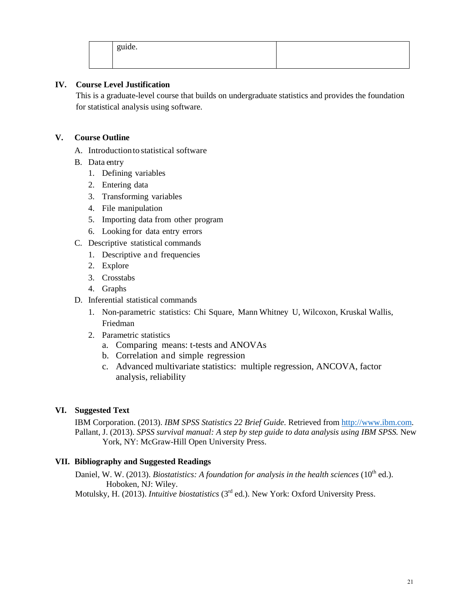|  | .<br>guide. |  |  |
|--|-------------|--|--|
|--|-------------|--|--|

#### **IV. Course Level Justification**

This is a graduate-level course that builds on undergraduate statistics and provides the foundation for statistical analysis using software.

#### **V. Course Outline**

- A. Introductionto statistical software
- B. Data entry
	- 1. Defining variables
	- 2. Entering data
	- 3. Transforming variables
	- 4. File manipulation
	- 5. Importing data from other program
	- 6. Looking for data entry errors
- C. Descriptive statistical commands
	- 1. Descriptive and frequencies
	- 2. Explore
	- 3. Crosstabs
	- 4. Graphs
- D. Inferential statistical commands
	- 1. Non-parametric statistics: Chi Square, Mann Whitney U, Wilcoxon, Kruskal Wallis, Friedman
	- 2. Parametric statistics
		- a. Comparing means: t-tests and ANOVAs
		- b. Correlation and simple regression
		- c. Advanced multivariate statistics: multiple regression, ANCOVA, factor analysis, reliability

#### **VI. Suggested Text**

IBM Corporation. (2013). *IBM SPSS Statistics 22 Brief Guide.* Retrieved from [http://www.ibm.com.](http://www.ibm.com/) Pallant, J. (2013). *SPSS survival manual: A step by step guide to data analysis using IBM SPSS*. New York, NY: McGraw-Hill Open University Press.

#### **VII. Bibliography and Suggested Readings**

Daniel, W. W. (2013). *Biostatistics: A foundation for analysis in the health sciences* (10<sup>th</sup> ed.). Hoboken, NJ: Wiley.

Motulsky, H. (2013). *Intuitive biostatistics* (3rd ed.). New York: Oxford University Press.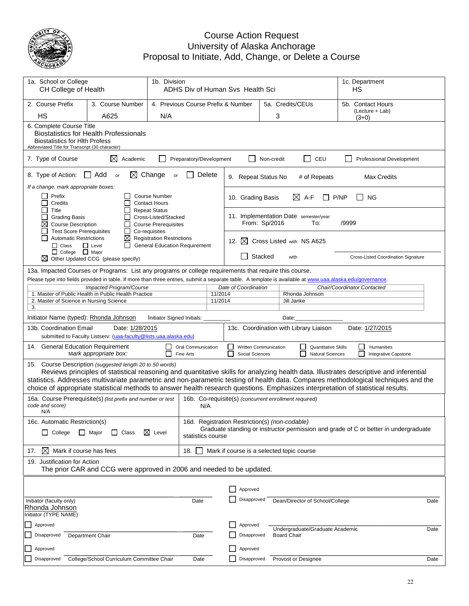

#### Course Action Request University of Alaska Anchorage Proposal to Initiate, Add, Change, or Delete a Course

| 1a. School or College<br>CH College of Health                                                                                                                                                                                                                                                                                                                                                                                                                                    |                                                                                                                                                                                                                                                                                                                                                               |                                                                                           | 1b. Division<br>ADHS Div of Human Svs Health Sci       |                    |                                                    |         |                                                       |                                                       |       | 1c. Department<br>НS                               |      |
|----------------------------------------------------------------------------------------------------------------------------------------------------------------------------------------------------------------------------------------------------------------------------------------------------------------------------------------------------------------------------------------------------------------------------------------------------------------------------------|---------------------------------------------------------------------------------------------------------------------------------------------------------------------------------------------------------------------------------------------------------------------------------------------------------------------------------------------------------------|-------------------------------------------------------------------------------------------|--------------------------------------------------------|--------------------|----------------------------------------------------|---------|-------------------------------------------------------|-------------------------------------------------------|-------|----------------------------------------------------|------|
| 2. Course Prefix                                                                                                                                                                                                                                                                                                                                                                                                                                                                 | 3. Course Number                                                                                                                                                                                                                                                                                                                                              |                                                                                           | 5a. Credits/CEUs<br>4. Previous Course Prefix & Number |                    |                                                    |         |                                                       |                                                       |       | 5b. Contact Hours                                  |      |
| <b>HS</b>                                                                                                                                                                                                                                                                                                                                                                                                                                                                        | A625                                                                                                                                                                                                                                                                                                                                                          | N/A                                                                                       |                                                        |                    |                                                    |         | 3                                                     |                                                       |       | (Lecture + Lab)<br>$(3+0)$                         |      |
| 6. Complete Course Title<br><b>Biostatistics for Health Professionals</b><br><b>Biostatistics for Hith Profess</b><br>Abbreviated Title for Transcript (30 character)                                                                                                                                                                                                                                                                                                            |                                                                                                                                                                                                                                                                                                                                                               |                                                                                           |                                                        |                    |                                                    |         |                                                       |                                                       |       |                                                    |      |
| $\Box$ CEU<br>⊠<br>Academic<br>Preparatory/Development<br>7. Type of Course<br>Non-credit<br>Professional Development                                                                                                                                                                                                                                                                                                                                                            |                                                                                                                                                                                                                                                                                                                                                               |                                                                                           |                                                        |                    |                                                    |         |                                                       |                                                       |       |                                                    |      |
| $\boxtimes$ Change<br>$\Box$ Add<br>8. Type of Action:<br>Delete<br><b>or</b><br>or<br>9. Repeat Status No<br># of Repeats<br><b>Max Credits</b>                                                                                                                                                                                                                                                                                                                                 |                                                                                                                                                                                                                                                                                                                                                               |                                                                                           |                                                        |                    |                                                    |         |                                                       |                                                       |       |                                                    |      |
| If a change, mark appropriate boxes:<br>Prefix<br>Credits                                                                                                                                                                                                                                                                                                                                                                                                                        |                                                                                                                                                                                                                                                                                                                                                               | <b>Course Number</b><br><b>Contact Hours</b>                                              |                                                        |                    | 10. Grading Basis                                  |         | $\boxtimes$ A-F                                       |                                                       | P/NP  | <b>NG</b>                                          |      |
| Title<br><b>Grading Basis</b><br>$\boxtimes$<br><b>Course Description</b>                                                                                                                                                                                                                                                                                                                                                                                                        |                                                                                                                                                                                                                                                                                                                                                               | <b>Repeat Status</b><br>Cross-Listed/Stacked<br><b>Course Prerequisites</b>               |                                                        |                    | From: Sp/2016                                      |         | 11. Implementation Date semester/year                 | To:                                                   | /9999 |                                                    |      |
| <b>Test Score Prerequisites</b><br><b>Automatic Restrictions</b><br>$\Box$ Class                                                                                                                                                                                                                                                                                                                                                                                                 | $\mathsf{L}$<br>⊠<br>$\Box$ Level<br>ΙI                                                                                                                                                                                                                                                                                                                       | Co-requisites<br><b>Registration Restrictions</b><br><b>General Education Requirement</b> |                                                        |                    | 12. $\boxtimes$                                    |         | Cross Listed with NS A625                             |                                                       |       |                                                    |      |
| □ College □ Major<br>M                                                                                                                                                                                                                                                                                                                                                                                                                                                           | Other Updated CCG (please specify)                                                                                                                                                                                                                                                                                                                            |                                                                                           |                                                        |                    |                                                    | Stacked | with                                                  |                                                       |       | <b>Cross-Listed Coordination Signature</b>         |      |
| 2. Master of Science in Nursing Science<br>3.                                                                                                                                                                                                                                                                                                                                                                                                                                    | 13a. Impacted Courses or Programs: List any programs or college requirements that require this course.<br>Please type into fields provided in table. If more than three entries, submit a separate table. A template is available at www.uaa.alaska.edu/governance.<br><b>Impacted Program/Course</b><br>1. Master of Public Health in Public Health Practice |                                                                                           |                                                        | 11/2014<br>11/2014 | Date of Coordination                               |         | Rhonda Johnson<br>Jill Janke                          |                                                       |       | Chair/Coordinator Contacted                        |      |
| Initiator Name (typed): Rhonda Johnson<br>Initiator Signed Initials:<br>Date:                                                                                                                                                                                                                                                                                                                                                                                                    |                                                                                                                                                                                                                                                                                                                                                               |                                                                                           |                                                        |                    |                                                    |         |                                                       |                                                       |       |                                                    |      |
| 13b. Coordination Email<br>Date: 1/28/2015<br>13c. Coordination with Library Liaison<br>Date: 1/27/2015<br>submitted to Faculty Listserv: (uaa-faculty@lists.uaa.alaska.edu)                                                                                                                                                                                                                                                                                                     |                                                                                                                                                                                                                                                                                                                                                               |                                                                                           |                                                        |                    |                                                    |         |                                                       |                                                       |       |                                                    |      |
| 14. General Education Requirement                                                                                                                                                                                                                                                                                                                                                                                                                                                | Mark appropriate box:                                                                                                                                                                                                                                                                                                                                         | $\Box$<br>П                                                                               | Oral Communication<br>Fine Arts                        |                    | ப<br>Written Communication<br>П<br>Social Sciences |         |                                                       | <b>Quantitative Skills</b><br><b>Natural Sciences</b> |       | $\Box$<br>Humanities<br>ΙI<br>Integrative Capstone |      |
| Course Description (suggested length 20 to 50 words)<br>15.<br>Reviews principles of statistical reasoning and quantitative skills for analyzing health data. Illustrates descriptive and inferential<br>statistics. Addresses multivariate parametric and non-parametric testing of health data. Compares methodological techniques and the<br>choice of appropriate statistical methods to answer health research questions. Emphasizes interpretation of statistical results. |                                                                                                                                                                                                                                                                                                                                                               |                                                                                           |                                                        |                    |                                                    |         |                                                       |                                                       |       |                                                    |      |
| code and score)<br>N/A                                                                                                                                                                                                                                                                                                                                                                                                                                                           | 16a. Course Prerequisite(s) (list prefix and number or test                                                                                                                                                                                                                                                                                                   |                                                                                           | N/A                                                    |                    |                                                    |         | 16b. Co-requisite(s) (concurrent enrollment required) |                                                       |       |                                                    |      |
| 16c. Automatic Restriction(s)                                                                                                                                                                                                                                                                                                                                                                                                                                                    |                                                                                                                                                                                                                                                                                                                                                               |                                                                                           |                                                        |                    | 16d. Registration Restriction(s) (non-codable)     |         |                                                       |                                                       |       |                                                    |      |
| Graduate standing or instructor permission and grade of C or better in undergraduate<br>$\Box$ Major<br>⊠<br>$\Box$ College<br>$\perp$<br>Class<br>Level<br>statistics course                                                                                                                                                                                                                                                                                                    |                                                                                                                                                                                                                                                                                                                                                               |                                                                                           |                                                        |                    |                                                    |         |                                                       |                                                       |       |                                                    |      |
| ⊠<br>Mark if course has fees<br>18.<br>17.<br>Mark if course is a selected topic course                                                                                                                                                                                                                                                                                                                                                                                          |                                                                                                                                                                                                                                                                                                                                                               |                                                                                           |                                                        |                    |                                                    |         |                                                       |                                                       |       |                                                    |      |
| 19. Justification for Action<br>The prior CAR and CCG were approved in 2006 and needed to be updated.                                                                                                                                                                                                                                                                                                                                                                            |                                                                                                                                                                                                                                                                                                                                                               |                                                                                           |                                                        |                    |                                                    |         |                                                       |                                                       |       |                                                    |      |
|                                                                                                                                                                                                                                                                                                                                                                                                                                                                                  |                                                                                                                                                                                                                                                                                                                                                               |                                                                                           |                                                        |                    | Approved                                           |         |                                                       |                                                       |       |                                                    |      |
| Initiator (faculty only)                                                                                                                                                                                                                                                                                                                                                                                                                                                         |                                                                                                                                                                                                                                                                                                                                                               |                                                                                           | Date                                                   |                    | Disapproved                                        |         | Dean/Director of School/College                       |                                                       |       |                                                    | Date |
| Rhonda Johnson<br>Initiator (TYPE NAME)                                                                                                                                                                                                                                                                                                                                                                                                                                          |                                                                                                                                                                                                                                                                                                                                                               |                                                                                           |                                                        |                    |                                                    |         |                                                       |                                                       |       |                                                    |      |
| Approved                                                                                                                                                                                                                                                                                                                                                                                                                                                                         |                                                                                                                                                                                                                                                                                                                                                               |                                                                                           |                                                        |                    | Approved                                           |         | Undergraduate/Graduate Academic                       |                                                       |       |                                                    | Date |
| Disapproved                                                                                                                                                                                                                                                                                                                                                                                                                                                                      | <b>Department Chair</b>                                                                                                                                                                                                                                                                                                                                       |                                                                                           | Date                                                   |                    | Disapproved                                        |         | <b>Board Chair</b>                                    |                                                       |       |                                                    |      |
| Approved                                                                                                                                                                                                                                                                                                                                                                                                                                                                         |                                                                                                                                                                                                                                                                                                                                                               |                                                                                           |                                                        |                    | Approved                                           |         |                                                       |                                                       |       |                                                    |      |
| Disapproved                                                                                                                                                                                                                                                                                                                                                                                                                                                                      | College/School Curriculum Committee Chair                                                                                                                                                                                                                                                                                                                     |                                                                                           | Date                                                   |                    | Disapproved                                        |         | Provost or Designee                                   |                                                       |       |                                                    | Date |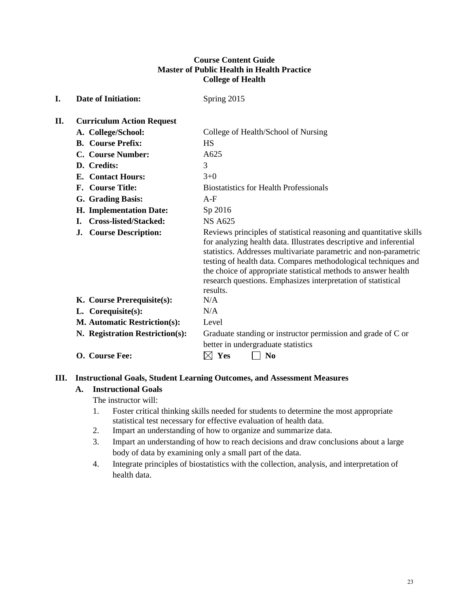#### **Course Content Guide Master of Public Health in Health Practice College of Health**

| I. | <b>Date of Initiation:</b>          | Spring 2015                                                                                                                                                                                                                                                                                                                                                                                                                   |
|----|-------------------------------------|-------------------------------------------------------------------------------------------------------------------------------------------------------------------------------------------------------------------------------------------------------------------------------------------------------------------------------------------------------------------------------------------------------------------------------|
| П. | <b>Curriculum Action Request</b>    |                                                                                                                                                                                                                                                                                                                                                                                                                               |
|    | A. College/School:                  | College of Health/School of Nursing                                                                                                                                                                                                                                                                                                                                                                                           |
|    | <b>B.</b> Course Prefix:            | <b>HS</b>                                                                                                                                                                                                                                                                                                                                                                                                                     |
|    | C. Course Number:                   | A625                                                                                                                                                                                                                                                                                                                                                                                                                          |
|    | D. Credits:                         | 3                                                                                                                                                                                                                                                                                                                                                                                                                             |
|    | <b>E.</b> Contact Hours:            | $3+0$                                                                                                                                                                                                                                                                                                                                                                                                                         |
|    | F. Course Title:                    | <b>Biostatistics for Health Professionals</b>                                                                                                                                                                                                                                                                                                                                                                                 |
|    | G. Grading Basis:                   | $A-F$                                                                                                                                                                                                                                                                                                                                                                                                                         |
|    | H. Implementation Date:             | Sp 2016                                                                                                                                                                                                                                                                                                                                                                                                                       |
|    | <b>Cross-listed/Stacked:</b><br>L.  | <b>NS A625</b>                                                                                                                                                                                                                                                                                                                                                                                                                |
|    | <b>Course Description:</b><br>J.    | Reviews principles of statistical reasoning and quantitative skills<br>for analyzing health data. Illustrates descriptive and inferential<br>statistics. Addresses multivariate parametric and non-parametric<br>testing of health data. Compares methodological techniques and<br>the choice of appropriate statistical methods to answer health<br>research questions. Emphasizes interpretation of statistical<br>results. |
|    | K. Course Prerequisite(s):          | N/A                                                                                                                                                                                                                                                                                                                                                                                                                           |
|    | L. Corequisite(s):                  | N/A                                                                                                                                                                                                                                                                                                                                                                                                                           |
|    | <b>M. Automatic Restriction(s):</b> | Level                                                                                                                                                                                                                                                                                                                                                                                                                         |
|    | N. Registration Restriction(s):     | Graduate standing or instructor permission and grade of C or<br>better in undergraduate statistics                                                                                                                                                                                                                                                                                                                            |
|    | O. Course Fee:                      | Yes<br>$\bf No$<br>IХI                                                                                                                                                                                                                                                                                                                                                                                                        |

#### **III. Instructional Goals, Student Learning Outcomes, and Assessment Measures**

## **A. Instructional Goals**

The instructor will:

- 1. Foster critical thinking skills needed for students to determine the most appropriate statistical test necessary for effective evaluation of health data.
- 2. Impart an understanding of how to organize and summarize data.
- 3. Impart an understanding of how to reach decisions and draw conclusions about a large body of data by examining only a small part of the data.
- 4. Integrate principles of biostatistics with the collection, analysis, and interpretation of health data.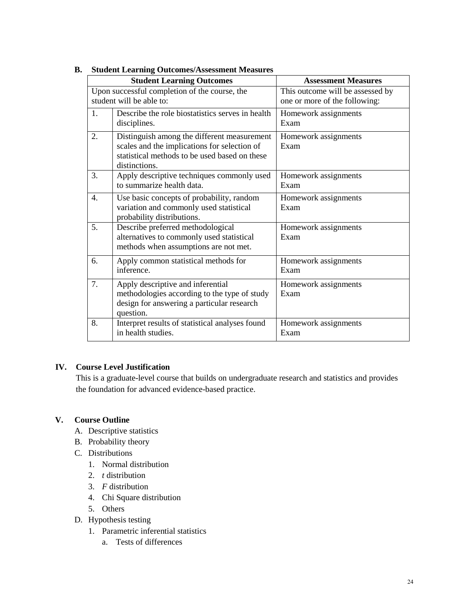|                  | stauent Leaf milg Outcomes/Assessment Measures<br><b>Student Learning Outcomes</b> | <b>Assessment Measures</b>       |
|------------------|------------------------------------------------------------------------------------|----------------------------------|
|                  |                                                                                    |                                  |
|                  | Upon successful completion of the course, the                                      | This outcome will be assessed by |
|                  | student will be able to:                                                           | one or more of the following:    |
| $\mathbf{1}$ .   | Describe the role biostatistics serves in health                                   | Homework assignments             |
|                  | disciplines.                                                                       | Exam                             |
| 2.               | Distinguish among the different measurement                                        | Homework assignments             |
|                  | scales and the implications for selection of                                       | Exam                             |
|                  | statistical methods to be used based on these                                      |                                  |
|                  | distinctions.                                                                      |                                  |
| 3.               | Apply descriptive techniques commonly used                                         | Homework assignments             |
|                  | to summarize health data.                                                          | Exam                             |
| $\overline{4}$ . | Use basic concepts of probability, random                                          | Homework assignments             |
|                  | variation and commonly used statistical                                            | Exam                             |
|                  | probability distributions.                                                         |                                  |
| 5.               | Describe preferred methodological                                                  | Homework assignments             |
|                  | alternatives to commonly used statistical                                          | Exam                             |
|                  | methods when assumptions are not met.                                              |                                  |
| 6.               | Apply common statistical methods for                                               | Homework assignments             |
|                  | inference.                                                                         | Exam                             |
| 7.               | Apply descriptive and inferential                                                  | Homework assignments             |
|                  | methodologies according to the type of study                                       | Exam                             |
|                  | design for answering a particular research                                         |                                  |
|                  | question.                                                                          |                                  |
| 8.               | Interpret results of statistical analyses found                                    | Homework assignments             |
|                  | in health studies.                                                                 | Exam                             |
|                  |                                                                                    |                                  |

#### **B. Student Learning Outcomes/Assessment Measures**

#### **IV. Course Level Justification**

This is a graduate-level course that builds on undergraduate research and statistics and provides the foundation for advanced evidence-based practice.

#### **V. Course Outline**

- A. Descriptive statistics
- B. Probability theory
- C. Distributions
	- 1. Normal distribution
	- 2. *t* distribution
	- 3. *F* distribution
	- 4. Chi Square distribution
	- 5. Others
- D. Hypothesis testing
	- 1. Parametric inferential statistics
		- a. Tests of differences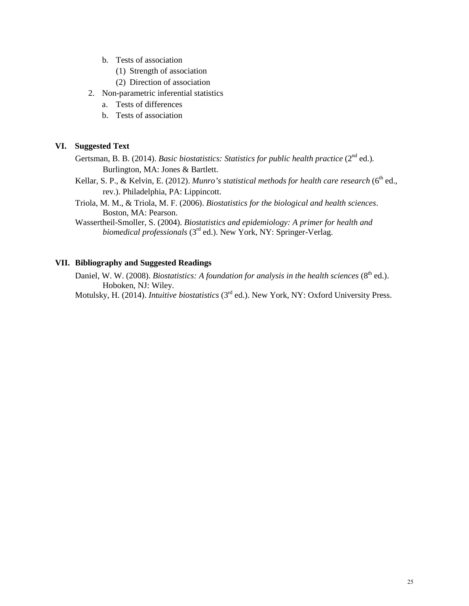- b. Tests of association
	- (1) Strength of association
	- (2) Direction of association
- 2. Non-parametric inferential statistics
	- a. Tests of differences
	- b. Tests of association

#### **VI. Suggested Text**

- Gertsman, B. B. (2014). *Basic biostatistics: Statistics for public health practice* (2<sup>nd</sup> ed.). Burlington, MA: Jones & Bartlett.
- Kellar, S. P., & Kelvin, E. (2012). *Munro's statistical methods for health care research* (6<sup>th</sup> ed., rev.). Philadelphia, PA: Lippincott.
- Triola, M. M., & Triola, M. F. (2006). *Biostatistics for the biological and health sciences*. Boston, MA: Pearson.
- Wassertheil-Smoller, S. (2004). *Biostatistics and epidemiology: A primer for health and biomedical professionals* (3<sup>rd</sup> ed.). New York, NY: Springer-Verlag.

#### **VII. Bibliography and Suggested Readings**

Daniel, W. W. (2008). *Biostatistics: A foundation for analysis in the health sciences* (8<sup>th</sup> ed.). Hoboken, NJ: Wiley.

Motulsky, H. (2014). *Intuitive biostatistics* (3rd ed.). New York, NY: Oxford University Press.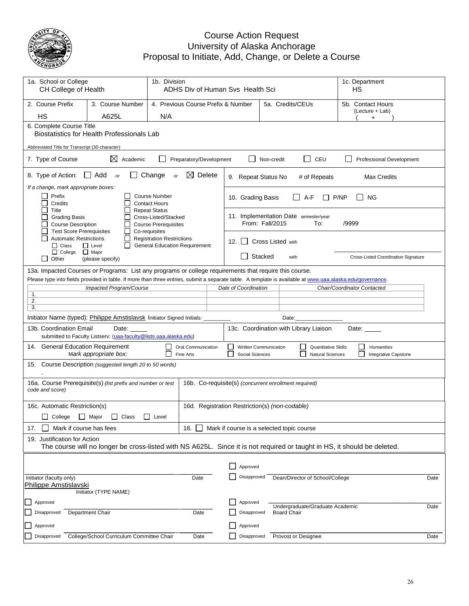

#### Course Action Request University of Alaska Anchorage Proposal to Initiate, Add, Change, or Delete a Course

| 1a. School or College<br>CH College of Health                                                                                                                                                 | 1b. Division<br>ADHS Div of Human Svs Health Sci                                                                                                            |                                                                                                                                                                                                                                                                     | 1c. Department<br>НS                           |                                                                                |                                              |  |  |  |
|-----------------------------------------------------------------------------------------------------------------------------------------------------------------------------------------------|-------------------------------------------------------------------------------------------------------------------------------------------------------------|---------------------------------------------------------------------------------------------------------------------------------------------------------------------------------------------------------------------------------------------------------------------|------------------------------------------------|--------------------------------------------------------------------------------|----------------------------------------------|--|--|--|
| 2. Course Prefix<br><b>HS</b>                                                                                                                                                                 | 3. Course Number<br>A625L                                                                                                                                   | 4. Previous Course Prefix & Number<br>N/A                                                                                                                                                                                                                           |                                                | 5a. Credits/CEUs                                                               | 5b. Contact Hours<br>(Lecture + Lab)<br>+    |  |  |  |
|                                                                                                                                                                                               | 6. Complete Course Title<br>Biostatistics for Health Professionals Lab                                                                                      |                                                                                                                                                                                                                                                                     |                                                |                                                                                |                                              |  |  |  |
| Abbreviated Title for Transcript (30 character)                                                                                                                                               |                                                                                                                                                             |                                                                                                                                                                                                                                                                     |                                                |                                                                                |                                              |  |  |  |
| 7. Type of Course                                                                                                                                                                             | $\boxtimes$ Academic                                                                                                                                        | Preparatory/Development                                                                                                                                                                                                                                             |                                                | CEU<br>Non-credit                                                              | Professional Development                     |  |  |  |
| 8. Type of Action:                                                                                                                                                                            | Change<br>$\boxtimes$ Delete<br>$\Box$ Add<br>or<br>or<br>9. Repeat Status No<br># of Repeats<br><b>Max Credits</b><br>If a change, mark appropriate boxes: |                                                                                                                                                                                                                                                                     |                                                |                                                                                |                                              |  |  |  |
| Prefix<br>Credits                                                                                                                                                                             |                                                                                                                                                             | <b>Course Number</b><br><b>Contact Hours</b>                                                                                                                                                                                                                        | 10. Grading Basis                              | $A-F$                                                                          | P/NP<br><b>NG</b>                            |  |  |  |
| Title<br><b>Repeat Status</b><br>Cross-Listed/Stacked<br><b>Grading Basis</b><br><b>Course Description</b><br><b>Course Prerequisites</b><br><b>Test Score Prerequisites</b><br>Co-requisites |                                                                                                                                                             |                                                                                                                                                                                                                                                                     |                                                | 11. Implementation Date semester/year<br>From: Fall/2015<br>To:                | /9999                                        |  |  |  |
| <b>Automatic Restrictions</b><br>$\Box$ Class                                                                                                                                                 | $\mathbf{I}$<br>$\mathsf{I}$<br>$\Box$ Level<br>ΙI                                                                                                          | <b>Registration Restrictions</b><br><b>General Education Requirement</b>                                                                                                                                                                                            | 12.<br>$\mathsf{L}$                            | <b>Cross Listed with</b>                                                       |                                              |  |  |  |
| $\Box$ College<br>$\Box$ Other                                                                                                                                                                | $\Box$ Major<br>(please specify)                                                                                                                            |                                                                                                                                                                                                                                                                     | Stacked                                        | Cross-Listed Coordination Signature                                            |                                              |  |  |  |
|                                                                                                                                                                                               |                                                                                                                                                             | 13a. Impacted Courses or Programs: List any programs or college requirements that require this course.<br>Please type into fields provided in table. If more than three entries, submit a separate table. A template is available at www.uaa.alaska.edu/governance. |                                                |                                                                                |                                              |  |  |  |
|                                                                                                                                                                                               | Impacted Program/Course                                                                                                                                     |                                                                                                                                                                                                                                                                     | Date of Coordination                           |                                                                                | Chair/Coordinator Contacted                  |  |  |  |
| 1.<br>2.                                                                                                                                                                                      |                                                                                                                                                             |                                                                                                                                                                                                                                                                     |                                                |                                                                                |                                              |  |  |  |
| 3.                                                                                                                                                                                            |                                                                                                                                                             |                                                                                                                                                                                                                                                                     |                                                |                                                                                |                                              |  |  |  |
|                                                                                                                                                                                               | Initiator Name (typed): Philippe Amstislavsk Initiator Signed Initials:                                                                                     |                                                                                                                                                                                                                                                                     |                                                | Date:                                                                          |                                              |  |  |  |
| 13b. Coordination Email                                                                                                                                                                       | Date:<br>submitted to Faculty Listserv: (uaa-faculty@lists.uaa.alaska.edu)                                                                                  |                                                                                                                                                                                                                                                                     |                                                | 13c. Coordination with Library Liaison                                         | Date: $\overline{\phantom{a}}$               |  |  |  |
| 14. General Education Requirement                                                                                                                                                             | Mark appropriate box:                                                                                                                                       | Oral Communication<br>Fine Arts                                                                                                                                                                                                                                     | Social Sciences                                | Written Communication<br><b>Quantitative Skills</b><br><b>Natural Sciences</b> | Humanities<br>$\Box$<br>Integrative Capstone |  |  |  |
| 15.                                                                                                                                                                                           | Course Description (suggested length 20 to 50 words)                                                                                                        |                                                                                                                                                                                                                                                                     |                                                |                                                                                |                                              |  |  |  |
| code and score)                                                                                                                                                                               | 16a. Course Prerequisite(s) (list prefix and number or test                                                                                                 |                                                                                                                                                                                                                                                                     |                                                | 16b. Co-requisite(s) (concurrent enrollment required)                          |                                              |  |  |  |
| 16c. Automatic Restriction(s)                                                                                                                                                                 |                                                                                                                                                             |                                                                                                                                                                                                                                                                     | 16d. Registration Restriction(s) (non-codable) |                                                                                |                                              |  |  |  |
| ப<br>College                                                                                                                                                                                  | $\Box$ Class<br>Major                                                                                                                                       | $\Box$ Level                                                                                                                                                                                                                                                        |                                                |                                                                                |                                              |  |  |  |
| 17.                                                                                                                                                                                           | Mark if course has fees<br>18.<br>Mark if course is a selected topic course                                                                                 |                                                                                                                                                                                                                                                                     |                                                |                                                                                |                                              |  |  |  |
| 19. Justification for Action                                                                                                                                                                  |                                                                                                                                                             |                                                                                                                                                                                                                                                                     |                                                |                                                                                |                                              |  |  |  |
|                                                                                                                                                                                               |                                                                                                                                                             | The course will no longer be cross-listed with NS A625L. Since it is not required or taught in HS, it should be deleted.                                                                                                                                            |                                                |                                                                                |                                              |  |  |  |
|                                                                                                                                                                                               |                                                                                                                                                             |                                                                                                                                                                                                                                                                     | Approved                                       |                                                                                |                                              |  |  |  |
| Initiator (faculty only)                                                                                                                                                                      |                                                                                                                                                             |                                                                                                                                                                                                                                                                     | Disapproved                                    |                                                                                |                                              |  |  |  |
| Philippe Amstislavski                                                                                                                                                                         | Initiator (TYPE NAME)                                                                                                                                       | Date                                                                                                                                                                                                                                                                |                                                | Dean/Director of School/College                                                | Date                                         |  |  |  |
| Approved                                                                                                                                                                                      |                                                                                                                                                             |                                                                                                                                                                                                                                                                     | Approved                                       |                                                                                |                                              |  |  |  |
| Disapproved                                                                                                                                                                                   | Department Chair                                                                                                                                            | Date                                                                                                                                                                                                                                                                | Disapproved                                    | Undergraduate/Graduate Academic<br><b>Board Chair</b>                          | Date                                         |  |  |  |
| Approved                                                                                                                                                                                      |                                                                                                                                                             |                                                                                                                                                                                                                                                                     | Approved                                       |                                                                                |                                              |  |  |  |
| Disapproved                                                                                                                                                                                   | College/School Curriculum Committee Chair                                                                                                                   | Date                                                                                                                                                                                                                                                                | Disapproved                                    | Provost or Designee                                                            | Date                                         |  |  |  |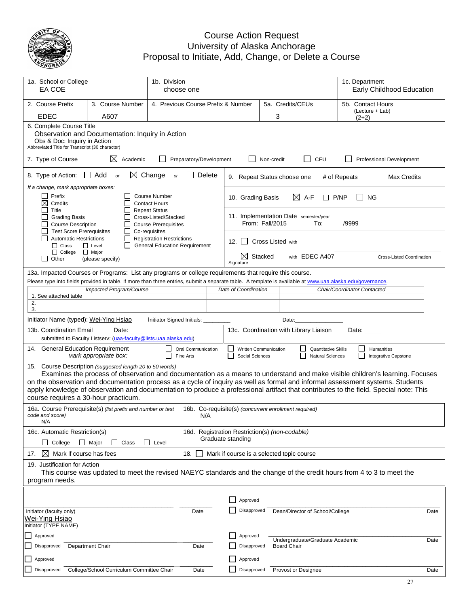

#### Course Action Request University of Alaska Anchorage Proposal to Initiate, Add, Change, or Delete a Course

| 1a. School or College<br>EA COE                                                                                                                                                                                                                                                                                                                                                                                                                                                                             |                                                                                                                                                                                                                                          | 1b. Division                                                                              | choose one |                                                 |                                                                          |         |                     | 1c. Department                  | Early Childhood Education            |                                  |      |
|-------------------------------------------------------------------------------------------------------------------------------------------------------------------------------------------------------------------------------------------------------------------------------------------------------------------------------------------------------------------------------------------------------------------------------------------------------------------------------------------------------------|------------------------------------------------------------------------------------------------------------------------------------------------------------------------------------------------------------------------------------------|-------------------------------------------------------------------------------------------|------------|-------------------------------------------------|--------------------------------------------------------------------------|---------|---------------------|---------------------------------|--------------------------------------|----------------------------------|------|
| 2. Course Prefix                                                                                                                                                                                                                                                                                                                                                                                                                                                                                            | 3. Course Number                                                                                                                                                                                                                         | 4. Previous Course Prefix & Number                                                        |            |                                                 |                                                                          |         | 5a. Credits/CEUs    |                                 | 5b. Contact Hours<br>(Lecture + Lab) |                                  |      |
| <b>EDEC</b>                                                                                                                                                                                                                                                                                                                                                                                                                                                                                                 | A607                                                                                                                                                                                                                                     |                                                                                           |            |                                                 |                                                                          |         | 3                   |                                 | $(2+2)$                              |                                  |      |
|                                                                                                                                                                                                                                                                                                                                                                                                                                                                                                             | 6. Complete Course Title<br>Observation and Documentation: Inquiry in Action<br>Obs & Doc: Inquiry in Action<br>Abbreviated Title for Transcript (30 character)                                                                          |                                                                                           |            |                                                 |                                                                          |         |                     |                                 |                                      |                                  |      |
| $\Box$<br>CEU<br>7. Type of Course<br>Preparatory/Development<br>Academic<br>Non-credit<br>Professional Development                                                                                                                                                                                                                                                                                                                                                                                         |                                                                                                                                                                                                                                          |                                                                                           |            |                                                 |                                                                          |         |                     |                                 |                                      |                                  |      |
| Change<br>8. Type of Action:<br>$\Box$ Add<br>$\bowtie$<br>Delete<br>or<br>or<br># of Repeats<br><b>Max Credits</b><br>9. Repeat Status choose one                                                                                                                                                                                                                                                                                                                                                          |                                                                                                                                                                                                                                          |                                                                                           |            |                                                 |                                                                          |         |                     |                                 |                                      |                                  |      |
| If a change, mark appropriate boxes:                                                                                                                                                                                                                                                                                                                                                                                                                                                                        |                                                                                                                                                                                                                                          |                                                                                           |            |                                                 |                                                                          |         |                     |                                 |                                      |                                  |      |
| Prefix<br>⊠<br>Credits<br>Title                                                                                                                                                                                                                                                                                                                                                                                                                                                                             |                                                                                                                                                                                                                                          | <b>Course Number</b><br><b>Contact Hours</b><br><b>Repeat Status</b>                      |            |                                                 | 10. Grading Basis                                                        |         | $\boxtimes$ A-F     |                                 | P/NP<br><b>NG</b>                    |                                  |      |
| <b>Grading Basis</b><br><b>Course Description</b>                                                                                                                                                                                                                                                                                                                                                                                                                                                           |                                                                                                                                                                                                                                          | Cross-Listed/Stacked<br><b>Course Prerequisites</b>                                       |            |                                                 | 11. Implementation Date semester/year<br>From: Fall/2015<br>/9999<br>To: |         |                     |                                 |                                      |                                  |      |
| <b>Test Score Prerequisites</b><br><b>Automatic Restrictions</b><br>$\Box$ Class                                                                                                                                                                                                                                                                                                                                                                                                                            | $\perp$<br>П<br>$\Box$ Level<br>ΙI                                                                                                                                                                                                       | Co-requisites<br><b>Registration Restrictions</b><br><b>General Education Requirement</b> |            | <b>Cross Listed with</b><br>12. $\vert$ $\vert$ |                                                                          |         |                     |                                 |                                      |                                  |      |
| $\Box$ College<br>l 1<br>Other                                                                                                                                                                                                                                                                                                                                                                                                                                                                              | $\Box$ Major<br>(please specify)                                                                                                                                                                                                         |                                                                                           |            |                                                 | ⊠<br>Signature                                                           | Stacked |                     | with EDEC A407                  |                                      | <b>Cross-Listed Coordination</b> |      |
|                                                                                                                                                                                                                                                                                                                                                                                                                                                                                                             | 13a. Impacted Courses or Programs: List any programs or college requirements that require this course.                                                                                                                                   |                                                                                           |            |                                                 |                                                                          |         |                     |                                 |                                      |                                  |      |
|                                                                                                                                                                                                                                                                                                                                                                                                                                                                                                             | Please type into fields provided in table. If more than three entries, submit a separate table. A template is available at www.uaa.alaska.edu/governance.                                                                                |                                                                                           |            |                                                 |                                                                          |         |                     |                                 |                                      |                                  |      |
| 1. See attached table                                                                                                                                                                                                                                                                                                                                                                                                                                                                                       | Impacted Program/Course                                                                                                                                                                                                                  |                                                                                           |            |                                                 | Date of Coordination                                                     |         |                     |                                 | Chair/Coordinator Contacted          |                                  |      |
| 2.                                                                                                                                                                                                                                                                                                                                                                                                                                                                                                          |                                                                                                                                                                                                                                          |                                                                                           |            |                                                 |                                                                          |         |                     |                                 |                                      |                                  |      |
| 3.                                                                                                                                                                                                                                                                                                                                                                                                                                                                                                          |                                                                                                                                                                                                                                          |                                                                                           |            |                                                 |                                                                          |         |                     |                                 |                                      |                                  |      |
| Initiator Name (typed): Wei-Ying Hsiao                                                                                                                                                                                                                                                                                                                                                                                                                                                                      |                                                                                                                                                                                                                                          | Initiator Signed Initials:                                                                |            |                                                 |                                                                          |         | Date:               |                                 |                                      |                                  |      |
|                                                                                                                                                                                                                                                                                                                                                                                                                                                                                                             | 13b. Coordination Email<br>13c. Coordination with Library Liaison<br>Date:<br>Date:<br>submitted to Faculty Listserv: (uaa-faculty@lists.uaa.alaska.edu)                                                                                 |                                                                                           |            |                                                 |                                                                          |         |                     |                                 |                                      |                                  |      |
|                                                                                                                                                                                                                                                                                                                                                                                                                                                                                                             | 14. General Education Requirement<br>Written Communication<br><b>Quantitative Skills</b><br>Humanities<br>Oral Communication<br>- 1<br>Mark appropriate box:<br>Natural Sciences<br>Fine Arts<br>Social Sciences<br>Integrative Capstone |                                                                                           |            |                                                 |                                                                          |         |                     |                                 |                                      |                                  |      |
| 15. Course Description (suggested length 20 to 50 words)<br>Examines the process of observation and documentation as a means to understand and make visible children's learning. Focuses<br>on the observation and documentation process as a cycle of inquiry as well as formal and informal assessment systems. Students<br>apply knowledge of observation and documentation to produce a professional artifact that contributes to the field. Special note: This<br>course requires a 30-hour practicum. |                                                                                                                                                                                                                                          |                                                                                           |            |                                                 |                                                                          |         |                     |                                 |                                      |                                  |      |
| code and score)<br>N/A                                                                                                                                                                                                                                                                                                                                                                                                                                                                                      | 16a. Course Prerequisite(s) (list prefix and number or test                                                                                                                                                                              |                                                                                           |            | N/A                                             | 16b. Co-requisite(s) (concurrent enrollment required)                    |         |                     |                                 |                                      |                                  |      |
| 16c. Automatic Restriction(s)                                                                                                                                                                                                                                                                                                                                                                                                                                                                               |                                                                                                                                                                                                                                          |                                                                                           |            |                                                 | 16d. Registration Restriction(s) (non-codable)                           |         |                     |                                 |                                      |                                  |      |
| College                                                                                                                                                                                                                                                                                                                                                                                                                                                                                                     | $\Box$ Major<br>Class                                                                                                                                                                                                                    | Level                                                                                     |            |                                                 | Graduate standing                                                        |         |                     |                                 |                                      |                                  |      |
| $\bowtie$<br>Mark if course has fees<br>17.                                                                                                                                                                                                                                                                                                                                                                                                                                                                 |                                                                                                                                                                                                                                          |                                                                                           | 18.        |                                                 | Mark if course is a selected topic course                                |         |                     |                                 |                                      |                                  |      |
| 19. Justification for Action                                                                                                                                                                                                                                                                                                                                                                                                                                                                                |                                                                                                                                                                                                                                          |                                                                                           |            |                                                 |                                                                          |         |                     |                                 |                                      |                                  |      |
| This course was updated to meet the revised NAEYC standards and the change of the credit hours from 4 to 3 to meet the<br>program needs.                                                                                                                                                                                                                                                                                                                                                                    |                                                                                                                                                                                                                                          |                                                                                           |            |                                                 |                                                                          |         |                     |                                 |                                      |                                  |      |
|                                                                                                                                                                                                                                                                                                                                                                                                                                                                                                             |                                                                                                                                                                                                                                          |                                                                                           |            |                                                 |                                                                          |         |                     |                                 |                                      |                                  |      |
|                                                                                                                                                                                                                                                                                                                                                                                                                                                                                                             |                                                                                                                                                                                                                                          |                                                                                           |            |                                                 | Approved                                                                 |         |                     |                                 |                                      |                                  |      |
| Initiator (faculty only)                                                                                                                                                                                                                                                                                                                                                                                                                                                                                    |                                                                                                                                                                                                                                          |                                                                                           | Date       |                                                 | Disapproved                                                              |         |                     | Dean/Director of School/College |                                      |                                  | Date |
| Wei-Ying Hsiao                                                                                                                                                                                                                                                                                                                                                                                                                                                                                              |                                                                                                                                                                                                                                          |                                                                                           |            |                                                 |                                                                          |         |                     |                                 |                                      |                                  |      |
| Initiator (TYPE NAME)                                                                                                                                                                                                                                                                                                                                                                                                                                                                                       |                                                                                                                                                                                                                                          |                                                                                           |            |                                                 |                                                                          |         |                     |                                 |                                      |                                  |      |
| Approved                                                                                                                                                                                                                                                                                                                                                                                                                                                                                                    |                                                                                                                                                                                                                                          |                                                                                           |            |                                                 | Approved                                                                 |         |                     | Undergraduate/Graduate Academic |                                      |                                  | Date |
| Disapproved                                                                                                                                                                                                                                                                                                                                                                                                                                                                                                 | Department Chair                                                                                                                                                                                                                         |                                                                                           | Date       |                                                 | Disapproved                                                              |         | <b>Board Chair</b>  |                                 |                                      |                                  |      |
| Approved                                                                                                                                                                                                                                                                                                                                                                                                                                                                                                    |                                                                                                                                                                                                                                          |                                                                                           |            |                                                 | Approved                                                                 |         |                     |                                 |                                      |                                  |      |
| Disapproved                                                                                                                                                                                                                                                                                                                                                                                                                                                                                                 | College/School Curriculum Committee Chair                                                                                                                                                                                                |                                                                                           | Date       |                                                 | Disapproved                                                              |         | Provost or Designee |                                 |                                      |                                  | Date |
|                                                                                                                                                                                                                                                                                                                                                                                                                                                                                                             |                                                                                                                                                                                                                                          |                                                                                           |            |                                                 |                                                                          |         |                     |                                 |                                      |                                  |      |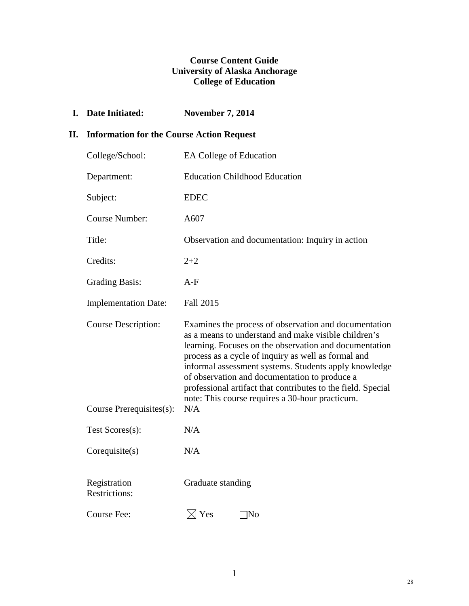## **Course Content Guide University of Alaska Anchorage College of Education**

**I. Date Initiated: November 7, 2014**

## **II. Information for the Course Action Request**

| College/School:                      | <b>EA College of Education</b>                                                                                                                                                                                                                                                                                                                                                                                                                              |
|--------------------------------------|-------------------------------------------------------------------------------------------------------------------------------------------------------------------------------------------------------------------------------------------------------------------------------------------------------------------------------------------------------------------------------------------------------------------------------------------------------------|
| Department:                          | <b>Education Childhood Education</b>                                                                                                                                                                                                                                                                                                                                                                                                                        |
| Subject:                             | <b>EDEC</b>                                                                                                                                                                                                                                                                                                                                                                                                                                                 |
| <b>Course Number:</b>                | A607                                                                                                                                                                                                                                                                                                                                                                                                                                                        |
| Title:                               | Observation and documentation: Inquiry in action                                                                                                                                                                                                                                                                                                                                                                                                            |
| Credits:                             | $2 + 2$                                                                                                                                                                                                                                                                                                                                                                                                                                                     |
| <b>Grading Basis:</b>                | $A-F$                                                                                                                                                                                                                                                                                                                                                                                                                                                       |
| <b>Implementation Date:</b>          | Fall 2015                                                                                                                                                                                                                                                                                                                                                                                                                                                   |
| <b>Course Description:</b>           | Examines the process of observation and documentation<br>as a means to understand and make visible children's<br>learning. Focuses on the observation and documentation<br>process as a cycle of inquiry as well as formal and<br>informal assessment systems. Students apply knowledge<br>of observation and documentation to produce a<br>professional artifact that contributes to the field. Special<br>note: This course requires a 30-hour practicum. |
| Course Prerequisites(s):             | N/A                                                                                                                                                                                                                                                                                                                                                                                                                                                         |
| Test Scores(s):                      | N/A                                                                                                                                                                                                                                                                                                                                                                                                                                                         |
| Corequisite(s)                       | N/A                                                                                                                                                                                                                                                                                                                                                                                                                                                         |
| Registration<br><b>Restrictions:</b> | Graduate standing                                                                                                                                                                                                                                                                                                                                                                                                                                           |
| Course Fee:                          | $\boxtimes$ Yes<br> No                                                                                                                                                                                                                                                                                                                                                                                                                                      |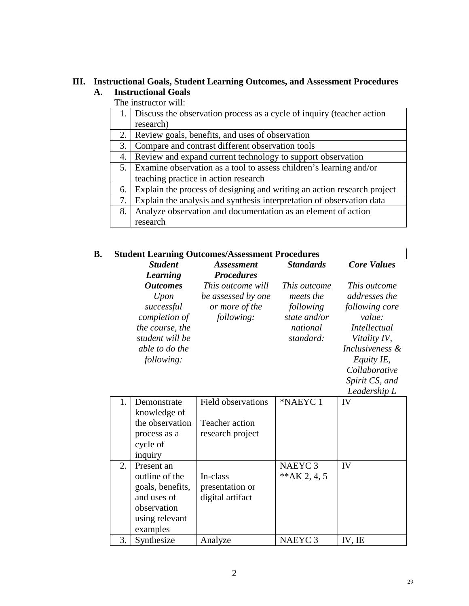## **III. Instructional Goals, Student Learning Outcomes, and Assessment Procedures A. Instructional Goals**

The instructor will:

|    | Discuss the observation process as a cycle of inquiry (teacher action   |
|----|-------------------------------------------------------------------------|
|    | research)                                                               |
| 2. | Review goals, benefits, and uses of observation                         |
| 3. | Compare and contrast different observation tools                        |
| 4. | Review and expand current technology to support observation             |
| 5. | Examine observation as a tool to assess children's learning and/or      |
|    | teaching practice in action research                                    |
| 6. | Explain the process of designing and writing an action research project |
| 7. | Explain the analysis and synthesis interpretation of observation data   |
| 8. | Analyze observation and documentation as an element of action           |
|    | research                                                                |

## **B. Student Learning Outcomes/Assessment Procedures**

| <b>Student</b><br>Learning                                                                          | <i>Assessment</i><br><b>Procedures</b>                                         | <b>Standards</b>                                                                       | <b>Core Values</b>                                                                               |
|-----------------------------------------------------------------------------------------------------|--------------------------------------------------------------------------------|----------------------------------------------------------------------------------------|--------------------------------------------------------------------------------------------------|
| <i><b>Outcomes</b></i><br>Upon<br>successful<br>completion of<br>the course, the<br>student will be | <i>This outcome will</i><br>be assessed by one<br>or more of the<br>following: | <i>This outcome</i><br>meets the<br>following<br>state and/or<br>national<br>standard: | <i>This outcome</i><br>addresses the<br>following core<br>value:<br>Intellectual<br>Vitality IV, |
| able to do the<br>following:                                                                        |                                                                                |                                                                                        | Inclusiveness &<br>Equity IE,<br>Collaborative<br>Spirit CS, and<br>Leadershin L                 |

|    |                             |                    |                    | Leudership L |
|----|-----------------------------|--------------------|--------------------|--------------|
| 1. | Demonstrate<br>knowledge of | Field observations | *NAEYC 1           | IV           |
|    | the observation             | Teacher action     |                    |              |
|    | process as a                | research project   |                    |              |
|    | cycle of                    |                    |                    |              |
|    | inquiry                     |                    |                    |              |
| 2. | Present an                  |                    | NAEYC <sub>3</sub> | IV           |
|    | outline of the              | In-class           | ** $AK$ 2, 4, 5    |              |
|    | goals, benefits,            | presentation or    |                    |              |
|    | and uses of                 | digital artifact   |                    |              |
|    | observation                 |                    |                    |              |
|    | using relevant              |                    |                    |              |
|    | examples                    |                    |                    |              |
| 3. | Synthesize                  | Analyze            | NAEYC <sub>3</sub> | IV, IE       |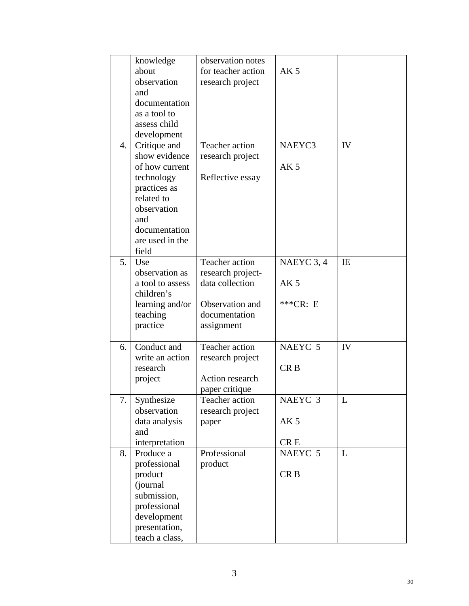|    | knowledge        | observation notes  |                 |             |
|----|------------------|--------------------|-----------------|-------------|
|    | about            | for teacher action | AK <sub>5</sub> |             |
|    | observation      | research project   |                 |             |
|    | and              |                    |                 |             |
|    | documentation    |                    |                 |             |
|    | as a tool to     |                    |                 |             |
|    | assess child     |                    |                 |             |
|    | development      |                    |                 |             |
| 4. | Critique and     | Teacher action     | NAEYC3          | IV          |
|    | show evidence    | research project   |                 |             |
|    | of how current   |                    | AK <sub>5</sub> |             |
|    | technology       | Reflective essay   |                 |             |
|    | practices as     |                    |                 |             |
|    | related to       |                    |                 |             |
|    | observation      |                    |                 |             |
|    | and              |                    |                 |             |
|    | documentation    |                    |                 |             |
|    | are used in the  |                    |                 |             |
|    | field            |                    |                 |             |
| 5. | Use              | Teacher action     | NAEYC 3, 4      | IE          |
|    | observation as   | research project-  |                 |             |
|    | a tool to assess | data collection    | AK <sub>5</sub> |             |
|    | children's       |                    |                 |             |
|    | learning and/or  | Observation and    | $***CR: E$      |             |
|    | teaching         | documentation      |                 |             |
|    | practice         | assignment         |                 |             |
|    |                  |                    |                 |             |
| 6. | Conduct and      | Teacher action     | NAEYC 5         | IV          |
|    | write an action  | research project   |                 |             |
|    | research         |                    | CR <sub>B</sub> |             |
|    | project          | Action research    |                 |             |
|    |                  | paper critique     |                 |             |
| 7. | Synthesize       | Teacher action     | NAEYC 3         | $\mathbf L$ |
|    | observation      | research project   |                 |             |
|    | data analysis    | paper              | AK <sub>5</sub> |             |
|    | and              |                    |                 |             |
|    | interpretation   |                    | CR <sub>E</sub> |             |
| 8. | Produce a        | Professional       | NAEYC 5         | L           |
|    | professional     | product            |                 |             |
|    | product          |                    | CR <sub>B</sub> |             |
|    | (journal         |                    |                 |             |
|    | submission,      |                    |                 |             |
|    | professional     |                    |                 |             |
|    | development      |                    |                 |             |
|    | presentation,    |                    |                 |             |
|    | teach a class,   |                    |                 |             |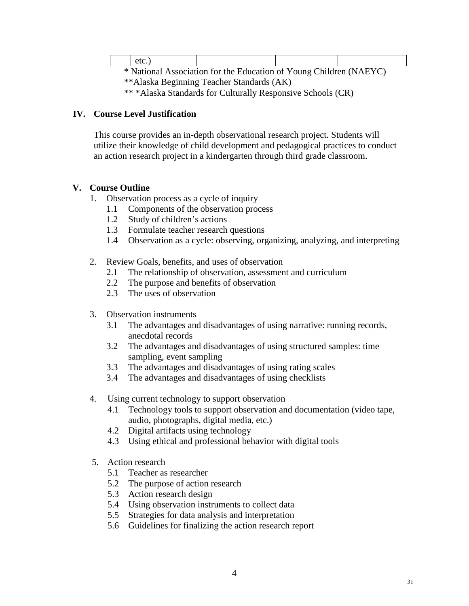| etc. |                                                                    |  |
|------|--------------------------------------------------------------------|--|
|      | * National Association for the Education of Young Children (NAEYC) |  |

\*\*Alaska Beginning Teacher Standards (AK)

\*\* \*Alaska Standards for Culturally Responsive Schools (CR)

### **IV. Course Level Justification**

This course provides an in-depth observational research project. Students will utilize their knowledge of child development and pedagogical practices to conduct an action research project in a kindergarten through third grade classroom.

## **V. Course Outline**

- 1. Observation process as a cycle of inquiry
	- 1.1 Components of the observation process
	- 1.2 Study of children's actions
	- 1.3 Formulate teacher research questions
	- 1.4 Observation as a cycle: observing, organizing, analyzing, and interpreting

## 2. Review Goals, benefits, and uses of observation

- 2.1 The relationship of observation, assessment and curriculum
- 2.2 The purpose and benefits of observation
- 2.3 The uses of observation
- 3. Observation instruments
	- 3.1 The advantages and disadvantages of using narrative: running records, anecdotal records
	- 3.2 The advantages and disadvantages of using structured samples: time sampling, event sampling
	- 3.3 The advantages and disadvantages of using rating scales
	- 3.4 The advantages and disadvantages of using checklists
- 4. Using current technology to support observation
	- 4.1 Technology tools to support observation and documentation (video tape, audio, photographs, digital media, etc.)
	- 4.2 Digital artifacts using technology
	- 4.3 Using ethical and professional behavior with digital tools
- 5. Action research
	- 5.1 Teacher as researcher
	- 5.2 The purpose of action research
	- 5.3 Action research design
	- 5.4 Using observation instruments to collect data
	- 5.5 Strategies for data analysis and interpretation
	- 5.6 Guidelines for finalizing the action research report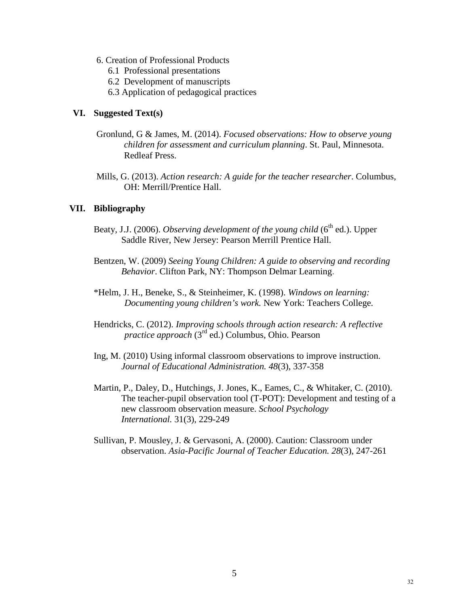- 6. Creation of Professional Products
	- 6.1 Professional presentations
	- 6.2 Development of manuscripts
	- 6.3 Application of pedagogical practices

#### **VI. Suggested Text(s)**

- Gronlund, G & James, M. (2014). *Focused observations: How to observe young children for assessment and curriculum planning*. St. Paul, Minnesota. Redleaf Press.
- Mills, G. (2013). *Action research: A guide for the teacher researcher*. Columbus, OH: Merrill/Prentice Hall.

#### **VII. Bibliography**

- Beaty, J.J. (2006). *Observing development of the young child* (6<sup>th</sup> ed.). Upper Saddle River, New Jersey: Pearson Merrill Prentice Hall.
- Bentzen, W. (2009) *Seeing Young Children: A guide to observing and recording Behavior*. Clifton Park, NY: Thompson Delmar Learning.
- \*Helm, J. H., Beneke, S., & Steinheimer, K. (1998). *Windows on learning: Documenting young children's work.* New York: Teachers College.
- Hendricks, C. (2012). *Improving schools through action research: A reflective practice approach* (3rd ed.) Columbus, Ohio. Pearson
- Ing, M. (2010) Using informal classroom observations to improve instruction. *Journal of Educational Administration. 48*(3), 337-358
- Martin, P., Daley, D., Hutchings, J. Jones, K., Eames, C., & Whitaker, C. (2010). The teacher-pupil observation tool (T-POT): Development and testing of a new classroom observation measure. *School Psychology International.* 31(3), 229-249
- Sullivan, P. Mousley, J. & Gervasoni, A. (2000). Caution: Classroom under observation. *Asia-Pacific Journal of Teacher Education. 28*(3), 247-261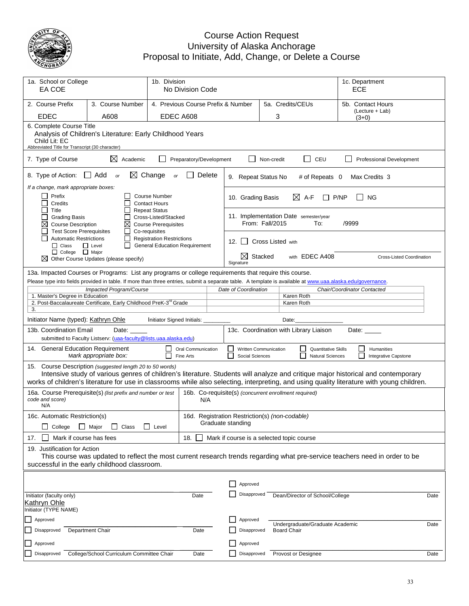

#### Course Action Request University of Alaska Anchorage Proposal to Initiate, Add, Change, or Delete a Course

| 1a. School or College<br>EA COE                                                                    |                                                                                                                                                                                                                                                                                                                                            | 1b. Division                                                                                 | No Division Code        |                                                                     |                 |                                       |                                                       | 1c. Department<br>ECE       |                                    |      |
|----------------------------------------------------------------------------------------------------|--------------------------------------------------------------------------------------------------------------------------------------------------------------------------------------------------------------------------------------------------------------------------------------------------------------------------------------------|----------------------------------------------------------------------------------------------|-------------------------|---------------------------------------------------------------------|-----------------|---------------------------------------|-------------------------------------------------------|-----------------------------|------------------------------------|------|
| 2. Course Prefix                                                                                   | 3. Course Number                                                                                                                                                                                                                                                                                                                           | 4. Previous Course Prefix & Number                                                           |                         |                                                                     |                 | 5a. Credits/CEUs                      |                                                       | 5b. Contact Hours           |                                    |      |
| <b>EDEC</b>                                                                                        | A608                                                                                                                                                                                                                                                                                                                                       | EDEC A608                                                                                    |                         |                                                                     |                 | 3                                     |                                                       | (Lecture + Lab)<br>$(3+0)$  |                                    |      |
| 6. Complete Course Title<br>Child Lit: EC<br>Abbreviated Title for Transcript (30 character)       | Analysis of Children's Literature: Early Childhood Years                                                                                                                                                                                                                                                                                   |                                                                                              |                         |                                                                     |                 |                                       |                                                       |                             |                                    |      |
| 7. Type of Course                                                                                  | ⊠<br>Academic                                                                                                                                                                                                                                                                                                                              |                                                                                              | Preparatory/Development |                                                                     | Non-credit      |                                       | $\Box$<br>CEU                                         |                             | Professional Development           |      |
| 8. Type of Action:                                                                                 | $\Box$ Add<br>or                                                                                                                                                                                                                                                                                                                           | $\boxtimes$ Change<br>or                                                                     | Delete                  | 9. Repeat Status No                                                 |                 |                                       | # of Repeats 0                                        | Max Credits 3               |                                    |      |
| If a change, mark appropriate boxes:<br>Prefix<br>Credits                                          |                                                                                                                                                                                                                                                                                                                                            | <b>Course Number</b><br><b>Contact Hours</b>                                                 |                         | 10. Grading Basis                                                   |                 | $\boxtimes$ A-F                       | P/NP                                                  | <b>NG</b>                   |                                    |      |
| Title<br><b>Grading Basis</b><br>⊠<br><b>Course Description</b><br><b>Test Score Prerequisites</b> | ⊠<br>ΙI                                                                                                                                                                                                                                                                                                                                    | <b>Repeat Status</b><br>Cross-Listed/Stacked<br><b>Course Prerequisites</b><br>Co-requisites |                         |                                                                     | From: Fall/2015 | 11. Implementation Date semester/year | To:                                                   | /9999                       |                                    |      |
| <b>Automatic Restrictions</b><br>$\Box$ Class                                                      | ΙI<br>$\Box$ Level                                                                                                                                                                                                                                                                                                                         | <b>Registration Restrictions</b><br><b>General Education Requirement</b>                     |                         | $12.$ $\parallel$ $\parallel$                                       |                 | Cross Listed with                     |                                                       |                             |                                    |      |
| $\Box$ College $\Box$ Major                                                                        | $\boxtimes$ Other Course Updates (please specify)                                                                                                                                                                                                                                                                                          |                                                                                              |                         | XI.<br>Signature                                                    | Stacked         |                                       | with EDEC A408                                        |                             | <b>Cross-Listed Coordination</b>   |      |
|                                                                                                    | 13a. Impacted Courses or Programs: List any programs or college requirements that require this course.                                                                                                                                                                                                                                     |                                                                                              |                         |                                                                     |                 |                                       |                                                       |                             |                                    |      |
|                                                                                                    | Please type into fields provided in table. If more than three entries, submit a separate table. A template is available at www.uaa.alaska.edu/governance.<br>Impacted Program/Course                                                                                                                                                       |                                                                                              |                         | Date of Coordination                                                |                 |                                       |                                                       | Chair/Coordinator Contacted |                                    |      |
| 1. Master's Degree in Education                                                                    |                                                                                                                                                                                                                                                                                                                                            |                                                                                              |                         |                                                                     |                 | Karen Roth                            |                                                       |                             |                                    |      |
| 3.                                                                                                 | 2. Post-Baccalaureate Certificate, Early Childhood PreK-3 <sup>rd</sup> Grade                                                                                                                                                                                                                                                              |                                                                                              |                         |                                                                     |                 | Karen Roth                            |                                                       |                             |                                    |      |
| Initiator Name (typed): Kathryn Ohle                                                               |                                                                                                                                                                                                                                                                                                                                            | Initiator Signed Initials:                                                                   |                         |                                                                     |                 | Date:                                 |                                                       |                             |                                    |      |
| 13b. Coordination Email<br>13c. Coordination with Library Liaison<br>Date:<br>Date:                |                                                                                                                                                                                                                                                                                                                                            |                                                                                              |                         |                                                                     |                 |                                       |                                                       |                             |                                    |      |
|                                                                                                    | submitted to Faculty Listserv: (uaa-faculty@lists.uaa.alaska.edu)                                                                                                                                                                                                                                                                          |                                                                                              |                         |                                                                     |                 |                                       |                                                       |                             |                                    |      |
| 14. General Education Requirement                                                                  | Mark appropriate box:                                                                                                                                                                                                                                                                                                                      | Fine Arts                                                                                    | Oral Communication      | Written Communication<br>Social Sciences                            |                 |                                       | <b>Quantitative Skills</b><br><b>Natural Sciences</b> |                             | Humanities<br>Integrative Capstone |      |
|                                                                                                    | 15. Course Description (suggested length 20 to 50 words)<br>Intensive study of various genres of children's literature. Students will analyze and critique major historical and contemporary<br>works of children's literature for use in classrooms while also selecting, interpreting, and using quality literature with young children. |                                                                                              |                         |                                                                     |                 |                                       |                                                       |                             |                                    |      |
| code and score)<br>N/A                                                                             | 16a. Course Prerequisite(s) (list prefix and number or test                                                                                                                                                                                                                                                                                |                                                                                              | N/A                     | 16b. Co-requisite(s) (concurrent enrollment required)               |                 |                                       |                                                       |                             |                                    |      |
| 16c. Automatic Restriction(s)<br>College                                                           | ∐ Major<br>Class<br>$\mathsf{L}$                                                                                                                                                                                                                                                                                                           | $\perp$<br>Level                                                                             |                         | 16d. Registration Restriction(s) (non-codable)<br>Graduate standing |                 |                                       |                                                       |                             |                                    |      |
| Mark if course has fees<br>17.                                                                     |                                                                                                                                                                                                                                                                                                                                            |                                                                                              | 18.                     | Mark if course is a selected topic course                           |                 |                                       |                                                       |                             |                                    |      |
| 19. Justification for Action                                                                       | This course was updated to reflect the most current research trends regarding what pre-service teachers need in order to be<br>successful in the early childhood classroom.                                                                                                                                                                |                                                                                              |                         |                                                                     |                 |                                       |                                                       |                             |                                    |      |
|                                                                                                    |                                                                                                                                                                                                                                                                                                                                            |                                                                                              |                         |                                                                     |                 |                                       |                                                       |                             |                                    |      |
|                                                                                                    |                                                                                                                                                                                                                                                                                                                                            |                                                                                              |                         | Approved                                                            |                 |                                       |                                                       |                             |                                    |      |
| Initiator (faculty only)<br>Kathryn Ohle<br>Initiator (TYPE NAME)                                  |                                                                                                                                                                                                                                                                                                                                            |                                                                                              | Date                    | Disapproved                                                         |                 |                                       | Dean/Director of School/College                       |                             |                                    | Date |
| Approved                                                                                           |                                                                                                                                                                                                                                                                                                                                            |                                                                                              |                         | Approved                                                            |                 |                                       | Undergraduate/Graduate Academic                       |                             |                                    |      |
| Disapproved                                                                                        | <b>Department Chair</b>                                                                                                                                                                                                                                                                                                                    |                                                                                              | Date                    | Disapproved                                                         |                 | <b>Board Chair</b>                    |                                                       |                             |                                    | Date |
| Approved                                                                                           |                                                                                                                                                                                                                                                                                                                                            |                                                                                              |                         | Approved                                                            |                 |                                       |                                                       |                             |                                    |      |
| Disapproved                                                                                        | College/School Curriculum Committee Chair                                                                                                                                                                                                                                                                                                  |                                                                                              | Date                    | Disapproved                                                         |                 | Provost or Designee                   |                                                       |                             |                                    | Date |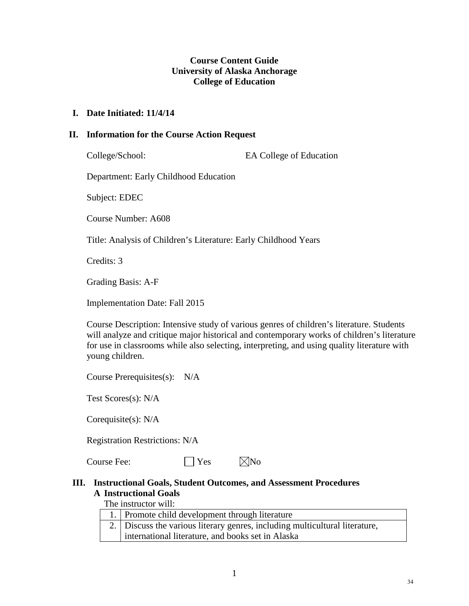### **Course Content Guide University of Alaska Anchorage College of Education**

#### **I. Date Initiated: 11/4/14**

#### **II. Information for the Course Action Request**

College/School: EA College of Education

Department: Early Childhood Education

Subject: EDEC

Course Number: A608

Title: Analysis of Children's Literature: Early Childhood Years

Credits: 3

Grading Basis: A-F

Implementation Date: Fall 2015

Course Description: Intensive study of various genres of children's literature. Students will analyze and critique major historical and contemporary works of children's literature for use in classrooms while also selecting, interpreting, and using quality literature with young children.

Course Prerequisites(s): N/A

Test Scores(s): N/A

Corequisite(s): N/A

Registration Restrictions: N/A

Course Fee:  $\Box$  Yes  $\boxtimes$  No

#### **III. Instructional Goals, Student Outcomes, and Assessment Procedures A Instructional Goals**

The instructor will:

| 1. Promote child development through literature                             |
|-----------------------------------------------------------------------------|
| 2. Discuss the various literary genres, including multicultural literature, |
| international literature, and books set in Alaska                           |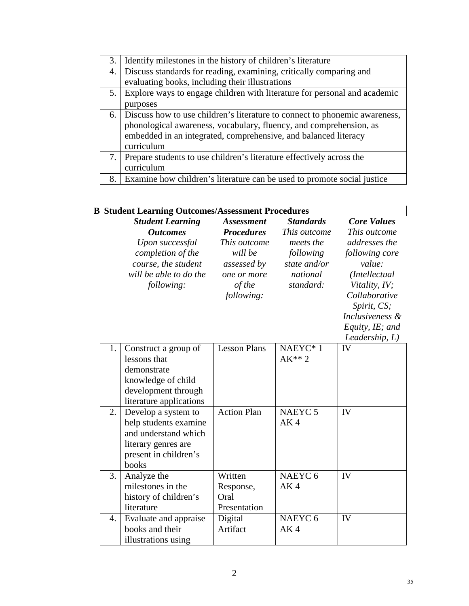| 3. | Identify milestones in the history of children's literature                |
|----|----------------------------------------------------------------------------|
| 4. | Discuss standards for reading, examining, critically comparing and         |
|    | evaluating books, including their illustrations                            |
| 5. | Explore ways to engage children with literature for personal and academic  |
|    | purposes                                                                   |
| 6. | Discuss how to use children's literature to connect to phonemic awareness, |
|    | phonological awareness, vocabulary, fluency, and comprehension, as         |
|    | embedded in an integrated, comprehensive, and balanced literacy            |
|    | curriculum                                                                 |
| 7. | Prepare students to use children's literature effectively across the       |
|    | curriculum                                                                 |
| 8. | Examine how children's literature can be used to promote social justice    |

## **B Student Learning Outcomes/Assessment Procedures**

| <b>Student Learning</b>                                                                                    | <b>Assessment</b>                                                             | <b>Standards</b>                                                | <b>Core Values</b>                                                                                                                                 |
|------------------------------------------------------------------------------------------------------------|-------------------------------------------------------------------------------|-----------------------------------------------------------------|----------------------------------------------------------------------------------------------------------------------------------------------------|
| <b>Outcomes</b>                                                                                            | <b>Procedures</b>                                                             | This outcome                                                    | This outcome                                                                                                                                       |
| Upon successful<br>completion of the<br>course, the student<br>will be able to do the<br><i>following:</i> | This outcome<br>will be<br>assessed by<br>one or more<br>of the<br>following: | meets the<br>following<br>state and/or<br>national<br>standard: | addresses the<br>following core<br>value:<br>(Intellectual)<br>Vitality, IV;<br>Collaborative<br>Spirit, CS;<br>Inclusiveness &<br>Equity, IE; and |

| $L$ quee $, L$ , wea<br>Leadership, L) |
|----------------------------------------|
| IV                                     |

| 1. | Construct a group of    | <b>Lesson Plans</b> | NAEYC*1            | IV |
|----|-------------------------|---------------------|--------------------|----|
|    | lessons that            |                     | $AK**2$            |    |
|    | demonstrate             |                     |                    |    |
|    | knowledge of child      |                     |                    |    |
|    | development through     |                     |                    |    |
|    | literature applications |                     |                    |    |
| 2. | Develop a system to     | <b>Action Plan</b>  | NAEYC <sub>5</sub> | IV |
|    | help students examine   |                     | AK <sub>4</sub>    |    |
|    | and understand which    |                     |                    |    |
|    | literary genres are     |                     |                    |    |
|    | present in children's   |                     |                    |    |
|    | books                   |                     |                    |    |
| 3. | Analyze the             | Written             | NAEYC <sub>6</sub> | IV |
|    | milestones in the       | Response,           | AK <sub>4</sub>    |    |
|    | history of children's   | Oral                |                    |    |
|    | literature              | Presentation        |                    |    |
| 4. | Evaluate and appraise   | Digital             | NAEYC <sub>6</sub> | IV |
|    | books and their         | Artifact            | AK <sub>4</sub>    |    |
|    | illustrations using     |                     |                    |    |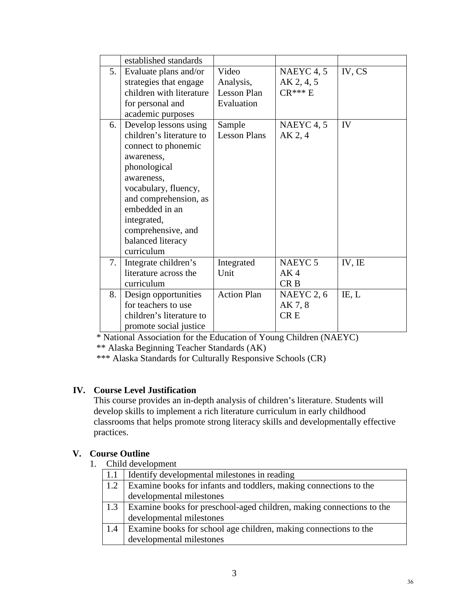|    | established standards                                                                                                                                                                                                                                           |                                                        |                                                          |        |
|----|-----------------------------------------------------------------------------------------------------------------------------------------------------------------------------------------------------------------------------------------------------------------|--------------------------------------------------------|----------------------------------------------------------|--------|
| 5. | Evaluate plans and/or<br>strategies that engage<br>children with literature<br>for personal and<br>academic purposes                                                                                                                                            | Video<br>Analysis,<br><b>Lesson Plan</b><br>Evaluation | NAEYC <sub>4</sub> , 5<br>AK 2, 4, 5<br>$CR***E$         | IV, CS |
| 6. | Develop lessons using<br>children's literature to<br>connect to phonemic<br>awareness,<br>phonological<br>awareness,<br>vocabulary, fluency,<br>and comprehension, as<br>embedded in an<br>integrated,<br>comprehensive, and<br>balanced literacy<br>curriculum | Sample<br><b>Lesson Plans</b>                          | NAEYC <sub>4</sub> , 5<br>AK 2, 4                        | IV     |
| 7. | Integrate children's<br>literature across the<br>curriculum                                                                                                                                                                                                     | Integrated<br>Unit                                     | NAEYC <sub>5</sub><br>AK <sub>4</sub><br>CR <sub>B</sub> | IV, IE |
| 8. | Design opportunities<br>for teachers to use<br>children's literature to<br>promote social justice                                                                                                                                                               | <b>Action Plan</b>                                     | NAEYC 2, 6<br>AK 7, 8<br><b>CRE</b>                      | IE, L  |

\* National Association for the Education of Young Children (NAEYC)

\*\* Alaska Beginning Teacher Standards (AK)

\*\*\* Alaska Standards for Culturally Responsive Schools (CR)

## **IV. Course Level Justification**

This course provides an in-depth analysis of children's literature. Students will develop skills to implement a rich literature curriculum in early childhood classrooms that helps promote strong literacy skills and developmentally effective practices.

## **V. Course Outline**

1. Child development

|     | Identify developmental milestones in reading                         |
|-----|----------------------------------------------------------------------|
| 1.2 | Examine books for infants and toddlers, making connections to the    |
|     | developmental milestones                                             |
| 1.3 | Examine books for preschool-aged children, making connections to the |
|     | developmental milestones                                             |
| 1.4 | Examine books for school age children, making connections to the     |
|     | developmental milestones                                             |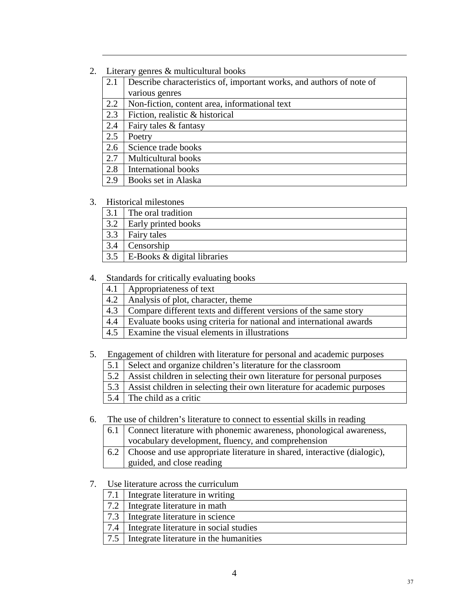2. Literary genres & multicultural books

| 2.1 | Describe characteristics of, important works, and authors of note of |
|-----|----------------------------------------------------------------------|
|     | various genres                                                       |
| 2.2 | Non-fiction, content area, informational text                        |
| 2.3 | Fiction, realistic & historical                                      |
| 2.4 | Fairy tales & fantasy                                                |
| 2.5 | Poetry                                                               |
| 2.6 | Science trade books                                                  |
| 2.7 | <b>Multicultural books</b>                                           |
| 2.8 | <b>International books</b>                                           |
| 2.9 | Books set in Alaska                                                  |

#### 3. Historical milestones

| 3.1 | The oral tradition          |
|-----|-----------------------------|
| 3.2 | <b>Early printed books</b>  |
| 3.3 | Fairy tales                 |
| 3.4 | Censorship                  |
| 3.5 | E-Books & digital libraries |

#### 4. Standards for critically evaluating books

| 4.1 | Appropriateness of text                                                 |
|-----|-------------------------------------------------------------------------|
| 4.2 | Analysis of plot, character, theme                                      |
| 4.3 | Compare different texts and different versions of the same story        |
|     | 4.4 Evaluate books using criteria for national and international awards |
| 4.5 | <b>Examine the visual elements in illustrations</b>                     |

## 5. Engagement of children with literature for personal and academic purposes

- 5.1 Select and organize children's literature for the classroom
- 5.2 Assist children in selecting their own literature for personal purposes
- 5.3 Assist children in selecting their own literature for academic purposes
- 5.4 The child as a critic

6. The use of children's literature to connect to essential skills in reading

| 6.1 Connect literature with phonemic awareness, phonological awareness,      |
|------------------------------------------------------------------------------|
| vocabulary development, fluency, and comprehension                           |
| 6.2 Choose and use appropriate literature in shared, interactive (dialogic), |
| guided, and close reading                                                    |

- guided, and close reading
- 7. Use literature across the curriculum

| 7.1   Integrate literature in writing        |
|----------------------------------------------|
| 7.2   Integrate literature in math           |
| 7.3   Integrate literature in science        |
| 7.4   Integrate literature in social studies |
| 7.5   Integrate literature in the humanities |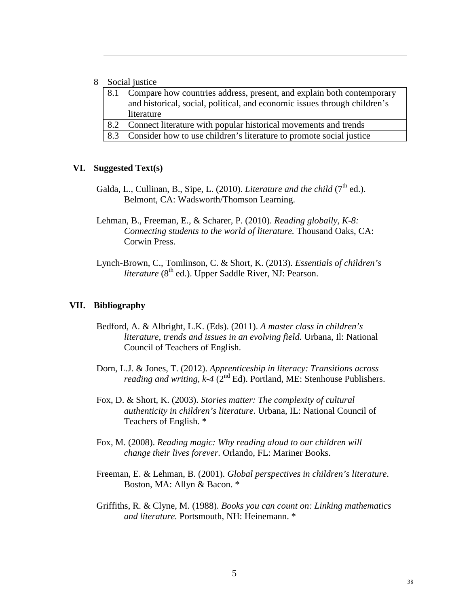#### 8 Social justice

|     | 8.1 Compare how countries address, present, and explain both contemporary |
|-----|---------------------------------------------------------------------------|
|     | and historical, social, political, and economic issues through children's |
|     | literature                                                                |
| 8.2 | Connect literature with popular historical movements and trends           |
| 8.3 | Consider how to use children's literature to promote social justice       |

#### **VI. Suggested Text(s)**

Galda, L., Cullinan, B., Sipe, L. (2010). *Literature and the child* (7<sup>th</sup> ed.). Belmont, CA: Wadsworth/Thomson Learning.

 Lehman, B., Freeman, E., & Scharer, P. (2010). *Reading globally, K-8: Connecting students to the world of literature.* Thousand Oaks, CA: Corwin Press.

Lynch-Brown, C., Tomlinson, C. & Short, K. (2013). *Essentials of children's literature* (8<sup>th</sup> ed.). Upper Saddle River, NJ: Pearson.

#### **VII. Bibliography**

- Bedford, A. & Albright, L.K. (Eds). (2011). *A master class in children's literature, trends and issues in an evolving field.* Urbana, Il: National Council of Teachers of English.
- Dorn, L.J. & Jones, T. (2012). *Apprenticeship in literacy: Transitions across reading and writing, k-4*  $(2^{nd} Ed)$ . Portland, ME: Stenhouse Publishers.
	- Fox, D. & Short, K. (2003). *Stories matter: The complexity of cultural authenticity in children's literature*. Urbana, IL: National Council of Teachers of English. \*
	- Fox, M. (2008). *Reading magic: Why reading aloud to our children will change their lives forever.* Orlando, FL: Mariner Books.
	- Freeman, E. & Lehman, B. (2001). *Global perspectives in children's literature*. Boston, MA: Allyn & Bacon. \*
	- Griffiths, R. & Clyne, M. (1988). *Books you can count on: Linking mathematics and literature.* Portsmouth, NH: Heinemann. \*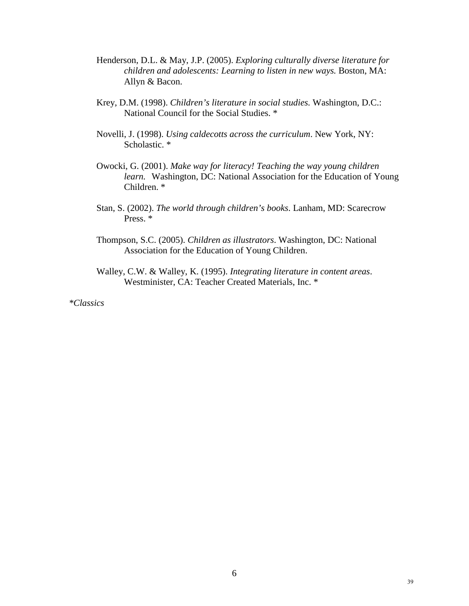- Henderson, D.L. & May, J.P. (2005). *Exploring culturally diverse literature for children and adolescents: Learning to listen in new ways.* Boston, MA: Allyn & Bacon.
- Krey, D.M. (1998). *Children's literature in social studies.* Washington, D.C.: National Council for the Social Studies. \*
- Novelli, J. (1998). *Using caldecotts across the curriculum*. New York, NY: Scholastic. \*
- Owocki, G. (2001). *Make way for literacy! Teaching the way young children learn.* Washington, DC: National Association for the Education of Young Children. \*
- Stan, S. (2002). *The world through children's books*. Lanham, MD: Scarecrow Press. \*
- Thompson, S.C. (2005). *Children as illustrators*. Washington, DC: National Association for the Education of Young Children.
- Walley, C.W. & Walley, K. (1995). *Integrating literature in content areas*. Westminister, CA: Teacher Created Materials, Inc. \*

*\*Classics*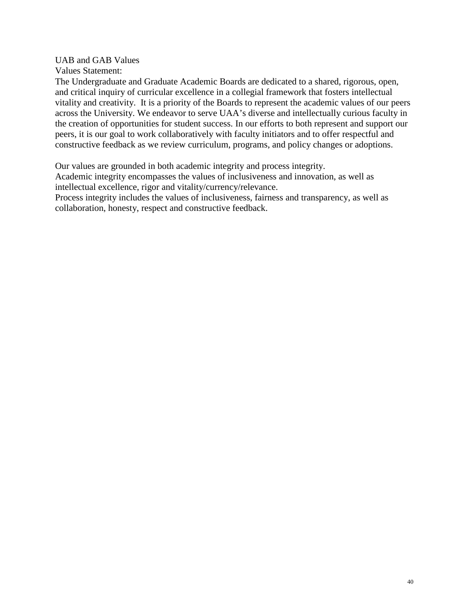UAB and GAB Values

Values Statement:

The Undergraduate and Graduate Academic Boards are dedicated to a shared, rigorous, open, and critical inquiry of curricular excellence in a collegial framework that fosters intellectual vitality and creativity. It is a priority of the Boards to represent the academic values of our peers across the University. We endeavor to serve UAA's diverse and intellectually curious faculty in the creation of opportunities for student success. In our efforts to both represent and support our peers, it is our goal to work collaboratively with faculty initiators and to offer respectful and constructive feedback as we review curriculum, programs, and policy changes or adoptions.

Our values are grounded in both academic integrity and process integrity.

Academic integrity encompasses the values of inclusiveness and innovation, as well as intellectual excellence, rigor and vitality/currency/relevance.

Process integrity includes the values of inclusiveness, fairness and transparency, as well as collaboration, honesty, respect and constructive feedback.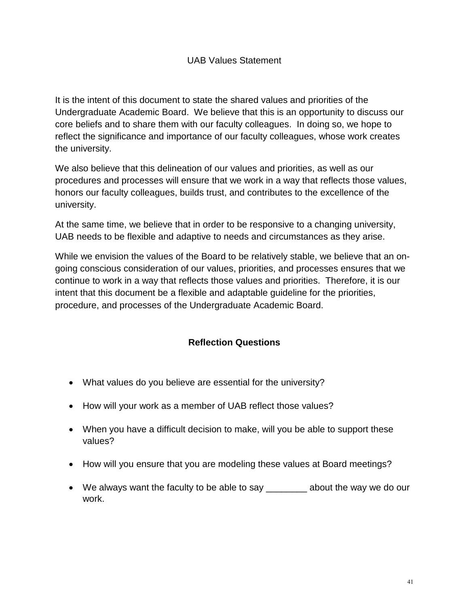It is the intent of this document to state the shared values and priorities of the Undergraduate Academic Board. We believe that this is an opportunity to discuss our core beliefs and to share them with our faculty colleagues. In doing so, we hope to reflect the significance and importance of our faculty colleagues, whose work creates the university.

We also believe that this delineation of our values and priorities, as well as our procedures and processes will ensure that we work in a way that reflects those values, honors our faculty colleagues, builds trust, and contributes to the excellence of the university.

At the same time, we believe that in order to be responsive to a changing university, UAB needs to be flexible and adaptive to needs and circumstances as they arise.

While we envision the values of the Board to be relatively stable, we believe that an ongoing conscious consideration of our values, priorities, and processes ensures that we continue to work in a way that reflects those values and priorities. Therefore, it is our intent that this document be a flexible and adaptable guideline for the priorities, procedure, and processes of the Undergraduate Academic Board.

## **Reflection Questions**

- What values do you believe are essential for the university?
- How will your work as a member of UAB reflect those values?
- When you have a difficult decision to make, will you be able to support these values?
- How will you ensure that you are modeling these values at Board meetings?
- We always want the faculty to be able to say \_\_\_\_\_\_\_\_\_ about the way we do our work.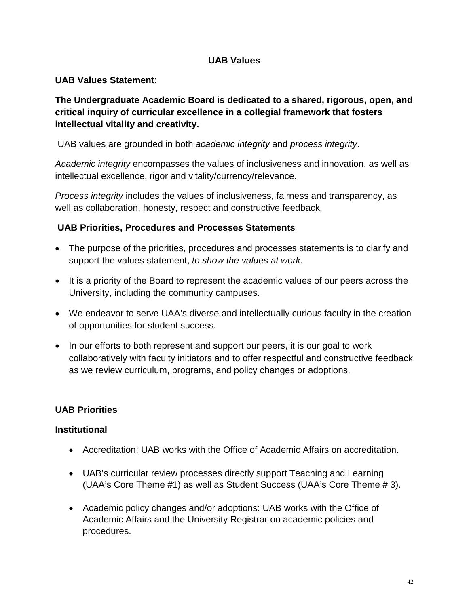## **UAB Values**

## **UAB Values Statement**:

**The Undergraduate Academic Board is dedicated to a shared, rigorous, open, and critical inquiry of curricular excellence in a collegial framework that fosters intellectual vitality and creativity.**

UAB values are grounded in both *academic integrity* and *process integrity*.

*Academic integrity* encompasses the values of inclusiveness and innovation, as well as intellectual excellence, rigor and vitality/currency/relevance.

*Process integrity* includes the values of inclusiveness, fairness and transparency, as well as collaboration, honesty, respect and constructive feedback.

## **UAB Priorities, Procedures and Processes Statements**

- The purpose of the priorities, procedures and processes statements is to clarify and support the values statement, *to show the values at work*.
- It is a priority of the Board to represent the academic values of our peers across the University, including the community campuses.
- We endeavor to serve UAA's diverse and intellectually curious faculty in the creation of opportunities for student success.
- In our efforts to both represent and support our peers, it is our goal to work collaboratively with faculty initiators and to offer respectful and constructive feedback as we review curriculum, programs, and policy changes or adoptions.

## **UAB Priorities**

## **Institutional**

- Accreditation: UAB works with the Office of Academic Affairs on accreditation.
- UAB's curricular review processes directly support Teaching and Learning (UAA's Core Theme #1) as well as Student Success (UAA's Core Theme # 3).
- Academic policy changes and/or adoptions: UAB works with the Office of Academic Affairs and the University Registrar on academic policies and procedures.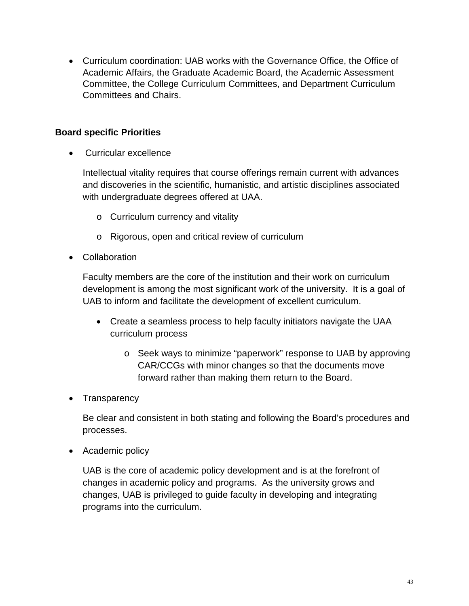• Curriculum coordination: UAB works with the Governance Office, the Office of Academic Affairs, the Graduate Academic Board, the Academic Assessment Committee, the College Curriculum Committees, and Department Curriculum Committees and Chairs.

## **Board specific Priorities**

• Curricular excellence

Intellectual vitality requires that course offerings remain current with advances and discoveries in the scientific, humanistic, and artistic disciplines associated with undergraduate degrees offered at UAA.

- o Curriculum currency and vitality
- o Rigorous, open and critical review of curriculum
- Collaboration

Faculty members are the core of the institution and their work on curriculum development is among the most significant work of the university. It is a goal of UAB to inform and facilitate the development of excellent curriculum.

- Create a seamless process to help faculty initiators navigate the UAA curriculum process
	- o Seek ways to minimize "paperwork" response to UAB by approving CAR/CCGs with minor changes so that the documents move forward rather than making them return to the Board.
- Transparency

Be clear and consistent in both stating and following the Board's procedures and processes.

• Academic policy

UAB is the core of academic policy development and is at the forefront of changes in academic policy and programs. As the university grows and changes, UAB is privileged to guide faculty in developing and integrating programs into the curriculum.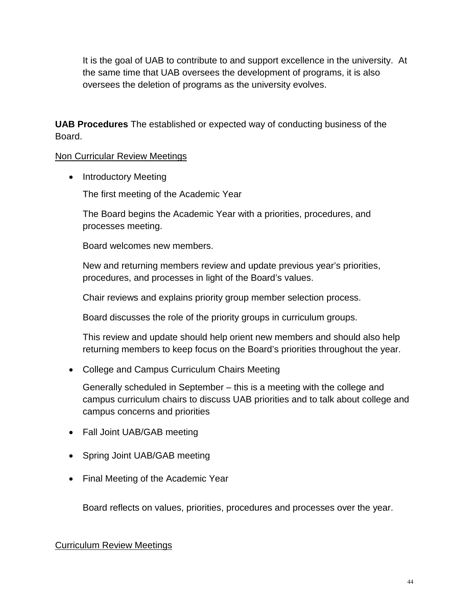It is the goal of UAB to contribute to and support excellence in the university. At the same time that UAB oversees the development of programs, it is also oversees the deletion of programs as the university evolves.

**UAB Procedures** The established or expected way of conducting business of the Board.

Non Curricular Review Meetings

• Introductory Meeting

The first meeting of the Academic Year

The Board begins the Academic Year with a priorities, procedures, and processes meeting.

Board welcomes new members.

New and returning members review and update previous year's priorities, procedures, and processes in light of the Board's values.

Chair reviews and explains priority group member selection process.

Board discusses the role of the priority groups in curriculum groups.

This review and update should help orient new members and should also help returning members to keep focus on the Board's priorities throughout the year.

• College and Campus Curriculum Chairs Meeting

Generally scheduled in September – this is a meeting with the college and campus curriculum chairs to discuss UAB priorities and to talk about college and campus concerns and priorities

- Fall Joint UAB/GAB meeting
- Spring Joint UAB/GAB meeting
- Final Meeting of the Academic Year

Board reflects on values, priorities, procedures and processes over the year.

## Curriculum Review Meetings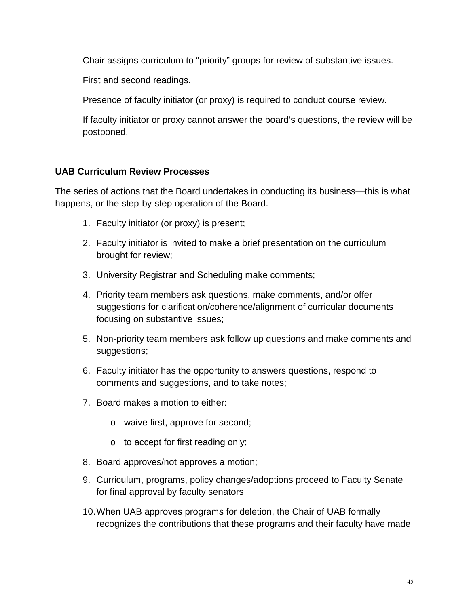Chair assigns curriculum to "priority" groups for review of substantive issues.

First and second readings.

Presence of faculty initiator (or proxy) is required to conduct course review.

If faculty initiator or proxy cannot answer the board's questions, the review will be postponed.

## **UAB Curriculum Review Processes**

The series of actions that the Board undertakes in conducting its business—this is what happens, or the step-by-step operation of the Board.

- 1. Faculty initiator (or proxy) is present;
- 2. Faculty initiator is invited to make a brief presentation on the curriculum brought for review;
- 3. University Registrar and Scheduling make comments;
- 4. Priority team members ask questions, make comments, and/or offer suggestions for clarification/coherence/alignment of curricular documents focusing on substantive issues;
- 5. Non-priority team members ask follow up questions and make comments and suggestions;
- 6. Faculty initiator has the opportunity to answers questions, respond to comments and suggestions, and to take notes;
- 7. Board makes a motion to either:
	- o waive first, approve for second;
	- o to accept for first reading only;
- 8. Board approves/not approves a motion;
- 9. Curriculum, programs, policy changes/adoptions proceed to Faculty Senate for final approval by faculty senators
- 10.When UAB approves programs for deletion, the Chair of UAB formally recognizes the contributions that these programs and their faculty have made